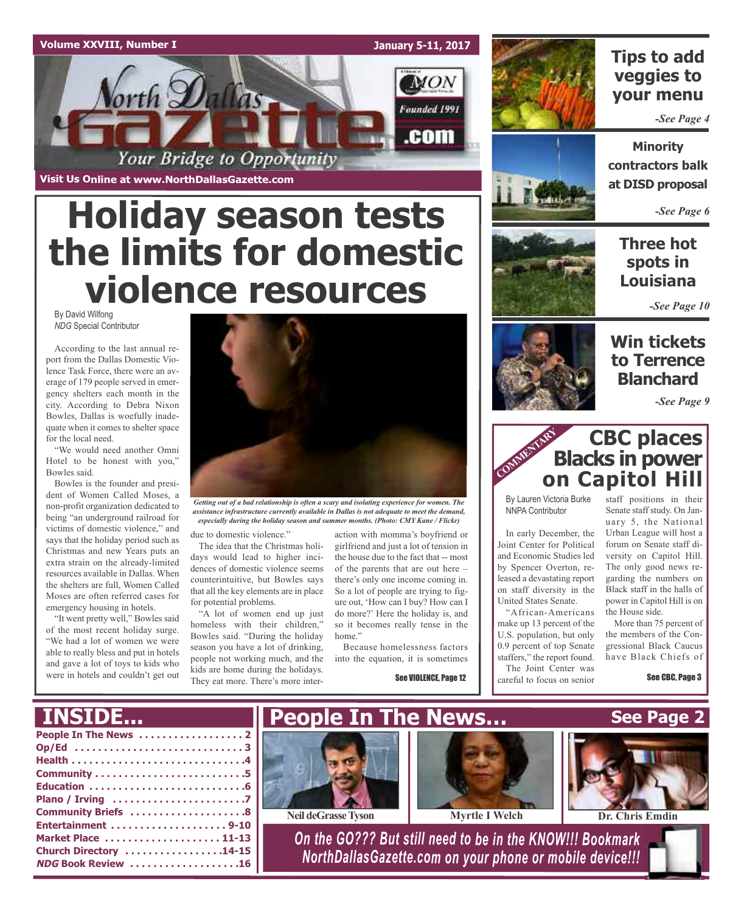### **Volume XXVIII, Number I**

**January 5-11, 2017**



**Visit Us Online at www.NorthDallasGazette.com**

# **Holiday season tests the limits for domestic violence resources**

By David Wilfong *NDG* Special Contributor

According to the last annual report from the Dallas Domestic Violence Task Force, there were an average of 179 people served in emergency shelters each month in the city. According to Debra Nixon Bowles, Dallas is woefully inadequate when it comes to shelter space for the local need.

"We would need another Omni Hotel to be honest with you," Bowles said.

Bowles is the founder and president of Women Called Moses, a non-profit organization dedicated to being "an underground railroad for victims of domestic violence," and says that the holiday period such as Christmas and new Years puts an extra strain on the already-limited resources available in Dallas. When the shelters are full, Women Called Moses are often referred cases for emergency housing in hotels.

"It went pretty well," Bowles said of the most recent holiday surge. "We had a lot of women we were able to really bless and put in hotels and gave a lot of toys to kids who were in hotels and couldn't get out



*Getting out of a bad relationship is often a scary and isolating experience for women. The assistance infrastructure currently available in Dallas is not adequate to meet the demand, especially during the holiday season and summer months. (Photo: CMY Kane / Flickr)*

due to domestic violence."

The idea that the Christmas holidays would lead to higher incidences of domestic violence seems counterintuitive, but Bowles says that all the key elements are in place for potential problems.

"A lot of women end up just homeless with their children," Bowles said. "During the holiday season you have a lot of drinking, people not working much, and the kids are home during the holidays. They eat more. There's more inter-

action with momma's boyfriend or girlfriend and just a lot of tension in the house due to the fact that -- most of the parents that are out here – there's only one income coming in. So a lot of people are trying to figure out, 'How can I buy? How can I do more?' Here the holiday is, and so it becomes really tense in the home."

Because homelessness factors into the equation, it is sometimes

See VIOLENCE, Page 12



### **Tips to add veggies to your menu**

*-See Page 4*

**Minority contractors balk at DISD proposal**

*-See Page 6*

**Three hot spots in Louisiana**

*-See Page 10*

### **Win tickets to Terrence Blanchard**

*-See Page 9*

### **CBC places Blacks in power on Capitol Hill** COMMENTARY **COMMENT**

By Lauren Victoria Burke NNPA Contributor

In early December, the Joint Center for Political and Economic Studies led by Spencer Overton, released a devastating report on staff diversity in the United States Senate.

"African-Americans make up 13 percent of the U.S. population, but only 0.9 percent of top Senate staffers," the report found. The Joint Center was careful to focus on senior

staff positions in their Senate staff study. On January 5, the National Urban League will host a forum on Senate staff diversity on Capitol Hill. The only good news regarding the numbers on Black staff in the halls of power in Capitol Hill is on the House side.

More than 75 percent of the members of the Congressional Black Caucus have Black Chiefs of

See CBC, Page 3

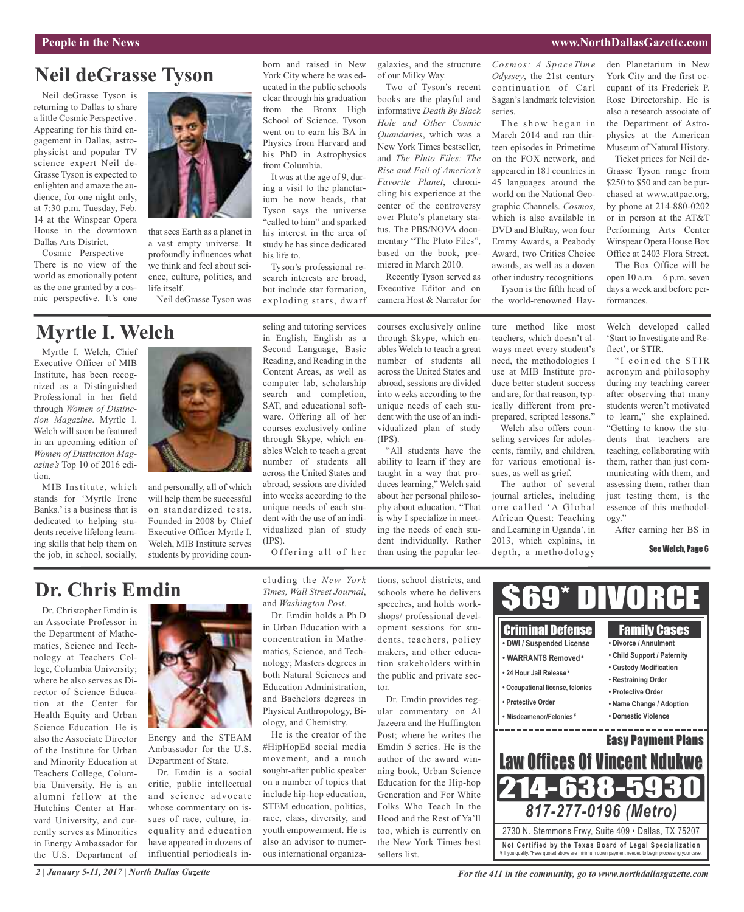### **Neil deGrasse Tyson**

Neil deGrasse Tyson is returning to Dallas to share a little Cosmic Perspective . Appearing for his third engagement in Dallas, astrophysicist and popular TV science expert Neil de-Grasse Tyson is expected to enlighten and amaze the audience, for one night only, at 7:30 p.m. Tuesday, Feb. 14 at the Winspear Opera House in the downtown Dallas Arts District.

Cosmic Perspective – There is no view of the world as emotionally potent as the one granted by a cosmic perspective. It's one



that sees Earth as a planet in a vast empty universe. It profoundly influences what we think and feel about science, culture, politics, and life itself.

Neil deGrasse Tyson was

### **Myrtle I. Welch**

Myrtle I. Welch, Chief Executive Officer of MIB Institute, has been recognized as a Distinguished Professional in her field through *Women of Distinction Magazine*. Myrtle I. Welch will soon be featured in an upcoming edition of *Women of Distinction Magazine's* Top 10 of 2016 edition.

MIB Institute, which stands for 'Myrtle Irene Banks.' is a business that is dedicated to helping students receive lifelong learning skills that help them on the job, in school, socially,



and personally, all of which will help them be successful on standardized tests. Founded in 2008 by Chief Executive Officer Myrtle I. Welch, MIB Institute serves students by providing coun-

### **Dr. Chris Emdin**

Dr. Christopher Emdin is an Associate Professor in the Department of Mathematics, Science and Technology at Teachers College, Columbia University; where he also serves as Director of Science Education at the Center for Health Equity and Urban Science Education. He is also the Associate Director of the Institute for Urban and Minority Education at Teachers College, Columbia University. He is an alumni fellow at the Hutchins Center at Harvard University, and currently serves as Minorities in Energy Ambassador for the U.S. Department of



Energy and the STEAM Ambassador for the U.S. Department of State.

Dr. Emdin is a social critic, public intellectual and science advocate whose commentary on issues of race, culture, inequality and education have appeared in dozens of influential periodicals including the *New York Times, Wall Street Journal*, and *Washington Post*.

Offering all of her

(IPS).

seling and tutoring services

Tyson's professional research interests are broad, but include star formation, exploding stars, dwarf

born and raised in New York City where he was educated in the public schools clear through his graduation from the Bronx High School of Science. Tyson went on to earn his BA in Physics from Harvard and his PhD in Astrophysics

It was at the age of 9, during a visit to the planetarium he now heads, that Tyson says the universe "called to him" and sparked his interest in the area of study he has since dedicated

from Columbia.

his life to.

Dr. Emdin holds a Ph.D in Urban Education with a concentration in Mathematics, Science, and Technology; Masters degrees in both Natural Sciences and Education Administration, and Bachelors degrees in Physical Anthropology, Biology, and Chemistry.

He is the creator of the #HipHopEd social media movement, and a much sought-after public speaker on a number of topics that include hip-hop education, STEM education, politics, race, class, diversity, and youth empowerment. He is also an advisor to numerous international organizations, school districts, and schools where he delivers speeches, and holds workshops/ professional development sessions for students, teachers, policy makers, and other education stakeholders within the public and private sector.

Dr. Emdin provides regular commentary on Al Jazeera and the Huffington Post; where he writes the Emdin 5 series. He is the author of the award winning book, Urban Science Education for the Hip-hop Generation and For White Folks Who Teach In the Hood and the Rest of Ya'll too, which is currently on the New York Times best sellers list.

*Cosmos: A SpaceTime Odyssey*, the 21st century continuation of Carl Sagan's landmark television series.

The show began in March 2014 and ran thirteen episodes in Primetime on the FOX network, and appeared in 181 countries in 45 languages around the world on the National Geographic Channels. *Cosmos*, which is also available in DVD and BluRay, won four Emmy Awards, a Peabody Award, two Critics Choice awards, as well as a dozen other industry recognitions.

Tyson is the fifth head of the world-renowned Hayden Planetarium in New York City and the first occupant of its Frederick P. Rose Directorship. He is also a research associate of the Department of Astrophysics at the American Museum of Natural History.

Ticket prices for Neil de-Grasse Tyson range from \$250 to \$50 and can be purchased at www.attpac.org, by phone at 214-880-0202 or in person at the AT&T Performing Arts Center Winspear Opera House Box Office at 2403 Flora Street.

The Box Office will be open 10 a.m. – 6 p.m. seven days a week and before performances.

Welch developed called 'Start to Investigate and Reflect', or STIR.

"I coined the STIR acronym and philosophy during my teaching career after observing that many students weren't motivated to learn," she explained. "Getting to know the students that teachers are teaching, collaborating with them, rather than just communicating with them, and assessing them, rather than just testing them, is the essence of this methodology."

After earning her BS in

#### See Welch, Page 6



*2 | January 5-11, 2017 | North Dallas Gazette*

in English, English as a Second Language, Basic Reading, and Reading in the Content Areas, as well as computer lab, scholarship search and completion, SAT, and educational software. Offering all of her courses exclusively online through Skype, which enables Welch to teach a great number of students all across the United States and (IPS).

courses exclusively online through Skype, which enables Welch to teach a great number of students all across the United States and abroad, sessions are divided into weeks according to the unique needs of each student with the use of an individualized plan of study

galaxies, and the structure

Two of Tyson's recent books are the playful and informative *Death By Black Hole and Other Cosmic Quandaries*, which was a New York Times bestseller, and *The Pluto Files: The Rise and Fall of America's Favorite Planet*, chronicling his experience at the center of the controversy over Pluto's planetary status. The PBS/NOVA documentary "The Pluto Files", based on the book, premiered in March 2010. Recently Tyson served as Executive Editor and on camera Host & Narrator for

of our Milky Way.

"All students have the ability to learn if they are taught in a way that produces learning," Welch said about her personal philosophy about education. "That is why I specialize in meeting the needs of each student individually. Rather than using the popular lecture method like most teachers, which doesn't always meet every student's need, the methodologies I use at MIB Institute produce better student success and are, for that reason, typically different from preprepared, scripted lessons."

Welch also offers counseling services for adolescents, family, and children, for various emotional issues, as well as grief.

The author of several journal articles, including one called 'A Global African Quest: Teaching and Learning in Uganda', in 2013, which explains, in depth, a methodology

abroad, sessions are divided into weeks according to the unique needs of each student with the use of an individualized plan of study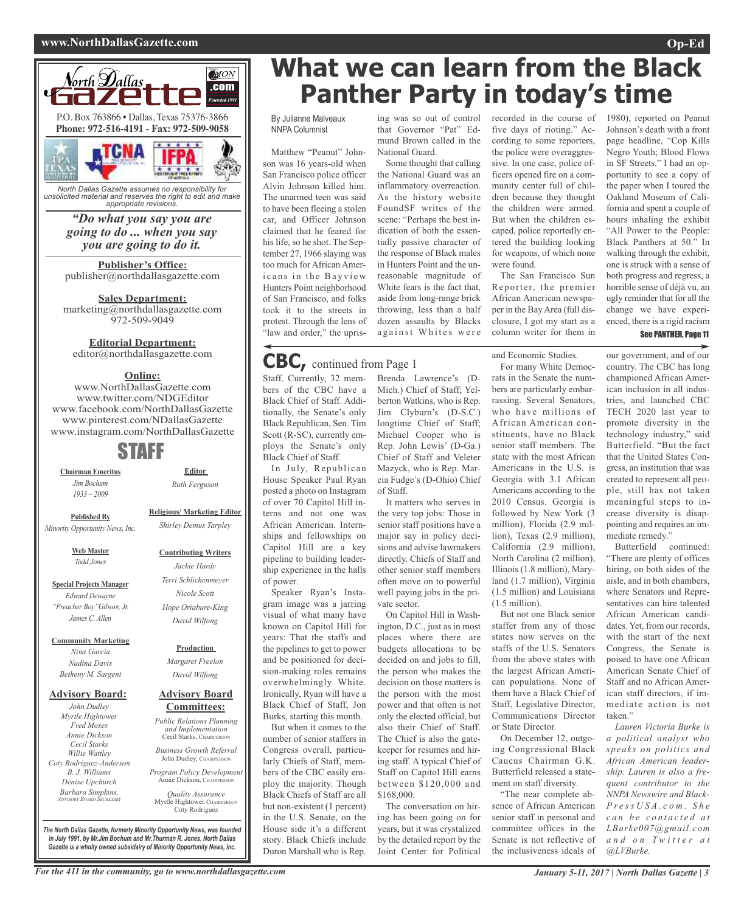#### **www.NorthDallasGazette.com Op-Ed**



*North Dallas Gazette assumes no responsibility for unsolicited material and reserves the right to edit and make appropriate revisions.*

> *"Do what you say you are going to do ... when you say you are going to do it.*

**Publisher's Office:** publisher@northdallasgazette.com

**Sales Department:** marketing@northdallasgazette.com 972-509-9049

### **Editorial Department:**

editor@northdallasgazette.com

### **Online:**

www.NorthDallasGazette.com www.twitter.com/NDGEditor www.facebook.com/NorthDallasGazette www.pinterest.com/NDallasGazette www.instagram.com/NorthDallasGazette

### STAFF

**Chairman Emeritus** *Jim Bochum 1933 – 2009*

**Religious/ Marketing Editor**

**Contributing Writers** *Jackie Hardy Terri Schlichenmeyer Nicole Scott Hope Oriabure-King David Wilfong*

**Editor** *Ruth Ferguson*

**Published By** *Minority Opportunity News, Inc.*

> **Web Master** *Todd Jones*

**Special Projects Manager** *Edward Dewayne "Preacher Boy"Gibson, Jr. James C. Allen*

**Community Marketing**

*Nina Garcia Nadina Davis Betheny M. Sargent*

#### **Advisory Board:**

*John Dudley Myrtle Hightower Fred Moses Annie Dickson Cecil Starks Willie Wattley Coty Rodriguez-Anderson B. J. Williams Denise Upchurch Barbara Simpkins, ADVISORY BOARD SECRETARY*

### **Advisory Board** *David Wilfong*

**Production** *Margaret Freelon*

### **Committees:**

*Public Relations Planning and Implementation* Cecil Starks, CHAIRPERSON *Business Growth Referral* John Dudley, CHAIRPERSO

*Program Policy Development* Annie Dickson, CHAIRPER

*Quality Assurance* Myrtle Hightower, CHAIRPERSON Coty Rodriguez

**What we can learn from the Black Panther Party in today's time**

#### By Julianne Malveaux NNPA Columnist

Matthew "Peanut" Johnson was 16 years-old when San Francisco police officer Alvin Johnson killed him. The unarmed teen was said to have been fleeing a stolen car, and Officer Johnson claimed that he feared for his life, so he shot. The September 27, 1966 slaying was too much for African Americans in the Bayview Hunters Point neighborhood of San Francisco, and folks took it to the streets in protest. Through the lens of "law and order," the upris-

### **CBC,** continued from Page <sup>1</sup>

Staff. Currently, 32 members of the CBC have a Black Chief of Staff. Additionally, the Senate's only Black Republican, Sen. Tim Scott (R-SC), currently employs the Senate's only Black Chief of Staff.

In July, Republican House Speaker Paul Ryan posted a photo on Instagram of over 70 Capitol Hill interns and not one was African American. Internships and fellowships on Capitol Hill are a key pipeline to building leadership experience in the halls of power.

Speaker Ryan's Instagram image was a jarring visual of what many have known on Capitol Hill for years: That the staffs and the pipelines to get to power and be positioned for decision-making roles remains overwhelmingly White. Ironically, Ryan will have a Black Chief of Staff, Jon Burks, starting this month.

But when it comes to the number of senior staffers in Congress overall, particularly Chiefs of Staff, members of the CBC easily employ the majority. Though Black Chiefs of Staff are all but non-existent (1 percent) in the U.S. Senate, on the House side it's a different story. Black Chiefs include Duron Marshall who is Rep.

ing was so out of control that Governor "Pat" Edmund Brown called in the National Guard.

Some thought that calling the National Guard was an inflammatory overreaction. As the history website FoundSF writes of the scene: "Perhaps the best indication of both the essentially passive character of the response of Black males in Hunters Point and the unreasonable magnitude of White fears is the fact that, aside from long-range brick throwing, less than a half dozen assaults by Blacks against Whites were

Brenda Lawrence's (D-Mich.) Chief of Staff; Yelberton Watkins, who is Rep. Jim Clyburn's (D-S.C.) longtime Chief of Staff; Michael Cooper who is Rep. John Lewis' (D-Ga.) Chief of Staff and Veleter Mazyck, who is Rep. Marcia Fudge's (D-Ohio) Chief of Staff.

It matters who serves in the very top jobs: Those in senior staff positions have a major say in policy decisions and advise lawmakers directly. Chiefs of Staff and other senior staff members often move on to powerful well paying jobs in the private sector.

On Capitol Hill in Washington, D.C., just as in most places where there are budgets allocations to be decided on and jobs to fill, the person who makes the decision on those matters is the person with the most power and that often is not only the elected official, but also their Chief of Staff. The Chief is also the gatekeeper for resumes and hiring staff. A typical Chief of Staff on Capitol Hill earns between \$120,000 and \$168,000.

The conversation on hiring has been going on for years, but it was crystalized by the detailed report by the Joint Center for Political

recorded in the course of five days of rioting." According to some reporters, the police were overaggressive. In one case, police officers opened fire on a community center full of children because they thought the children were armed. But when the children escaped, police reportedly entered the building looking for weapons, of which none were found.

The San Francisco Sun Reporter, the premier African American newspaper in the BayArea (full disclosure, I got my start as a column writer for them in

and Economic Studies.

For many White Democrats in the Senate the numbers are particularly embarrassing. Several Senators, who have millions of African American constituents, have no Black senior staff members. The state with the most African Americans in the U.S. is Georgia with 3.1 African Americans according to the 2010 Census. Georgia is followed by New York (3 million), Florida (2.9 million), Texas (2.9 million), California (2.9 million), North Carolina (2 million), Illinois (1.8 million), Maryland (1.7 million), Virginia (1.5 million) and Louisiana (1.5 million).

But not one Black senior staffer from any of those states now serves on the staffs of the U.S. Senators from the above states with the largest African American populations. None of them have a Black Chief of Staff, Legislative Director, Communications Director or State Director.

On December 12, outgoing Congressional Black Caucus Chairman G.K. Butterfield released a statement on staff diversity.

"The near complete absence of African American senior staff in personal and committee offices in the Senate is not reflective of the inclusiveness ideals of

1980), reported on Peanut Johnson's death with a front page headline, "Cop Kills Negro Youth; Blood Flows in SF Streets." I had an opportunity to see a copy of the paper when I toured the Oakland Museum of California and spent a couple of hours inhaling the exhibit "All Power to the People: Black Panthers at 50." In walking through the exhibit, one is struck with a sense of both progress and regress, a horrible sense of déjà vu, an ugly reminder that for all the change we have experienced, there is a rigid racism

#### See PANTHER, Page 11

our government, and of our country. The CBC has long championed African American inclusion in all industries, and launched CBC TECH 2020 last year to promote diversity in the technology industry," said Butterfield. "But the fact that the United States Congress, an institution that was created to represent all people, still has not taken meaningful steps to increase diversity is disappointing and requires an immediate remedy."

Butterfield continued: "There are plenty of offices hiring, on both sides of the aisle, and in both chambers, where Senators and Representatives can hire talented African American candidates. Yet, from our records, with the start of the next Congress, the Senate is poised to have one African American Senate Chief of Staff and no African American staff directors, if immediate action is not taken."

*Lauren Victoria Burke is a political analyst who speaks on politics and African American leadership. Lauren is also a frequent contributor to the NNPA Newswire and Black-P r e s s U S A . c o m . S h e c a n b e c o n t a c t e d a t LBurke007@gmail.com a n d o n T w i t t e r a t @LVBurke.*

*The North Dallas Gazette, formerly Minority Opportunity News, was founded in July 1991, by Mr.Jim Bochum and Mr.Thurman R. Jones. North Dallas Gazette is a wholly owned subsidairy of Minority Opportunity News, Inc.*

*Shirley Demus Tarpley*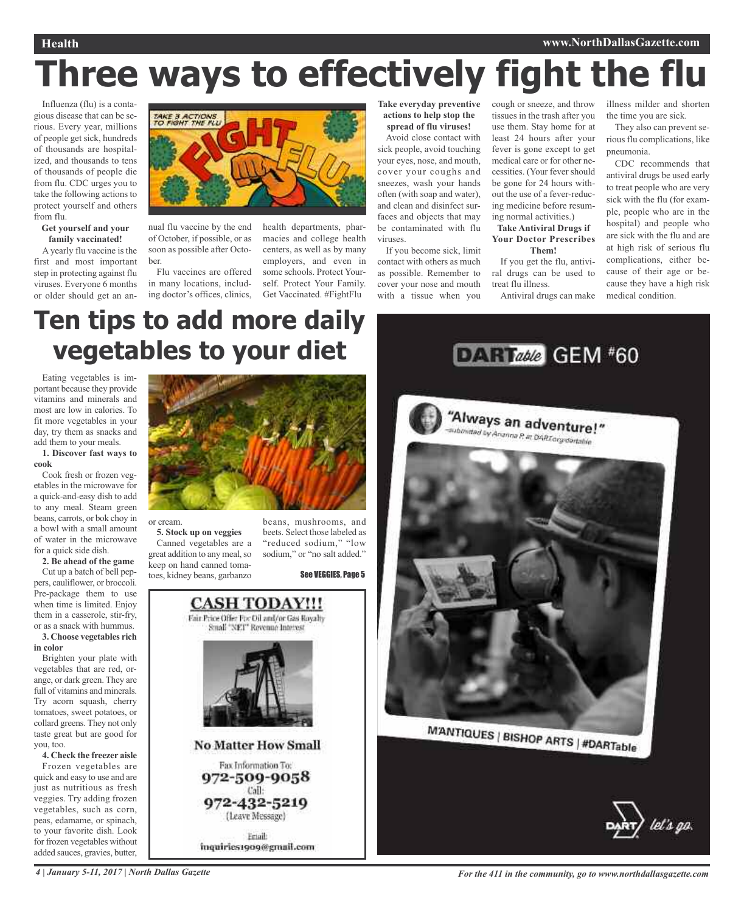### **Health www.NorthDallasGazette.com**

# **Three ways to effectively fight the flu**

Influenza (flu) is a contagious disease that can be serious. Every year, millions of people get sick, hundreds of thousands are hospitalized, and thousands to tens of thousands of people die from flu. CDC urges you to take the following actions to protect yourself and others from flu.

#### **Get yourself and your family vaccinated!**

A yearly flu vaccine is the first and most important step in protecting against flu viruses. Everyone 6 months or older should get an an-



nual flu vaccine by the end of October, if possible, or as soon as possible after October.

Flu vaccines are offered in many locations, including doctor's offices, clinics, health departments, pharmacies and college health centers, as well as by many employers, and even in some schools. Protect Yourself. Protect Your Family. Get Vaccinated. #FightFlu

**Take everyday preventive actions to help stop the spread of flu viruses!**

Avoid close contact with sick people, avoid touching your eyes, nose, and mouth, cover your coughs and sneezes, wash your hands often (with soap and water), and clean and disinfect surfaces and objects that may be contaminated with flu viruses.

If you become sick, limit contact with others as much as possible. Remember to cover your nose and mouth with a tissue when you cough or sneeze, and throw tissues in the trash after you use them. Stay home for at least 24 hours after your fever is gone except to get medical care or for other necessities. (Your fever should be gone for 24 hours without the use of a fever-reducing medicine before resuming normal activities.) **Take Antiviral Drugs if**

### **Your Doctor Prescribes Them!**

If you get the flu, antiviral drugs can be used to treat flu illness. Antiviral drugs can make illness milder and shorten the time you are sick.

They also can prevent serious flu complications, like pneumonia.

CDC recommends that antiviral drugs be used early to treat people who are very sick with the flu (for example, people who are in the hospital) and people who are sick with the flu and are at high risk of serious flu complications, either because of their age or because they have a high risk medical condition.

## **Ten tips to add more daily vegetables to your diet**

Eating vegetables is important because they provide vitamins and minerals and most are low in calories. To fit more vegetables in your day, try them as snacks and add them to your meals.

#### **1. Discover fast ways to cook**

Cook fresh or frozen vegetables in the microwave for a quick-and-easy dish to add to any meal. Steam green beans, carrots, or bok choy in a bowl with a small amount of water in the microwave for a quick side dish.

**2. Be ahead of the game** Cut up a batch of bell peppers, cauliflower, or broccoli. Pre-package them to use when time is limited. Enjoy them in a casserole, stir-fry, or as a snack with hummus. **3. Choose vegetables rich**

**in color**

Brighten your plate with vegetables that are red, orange, or dark green. They are full of vitamins and minerals. Try acorn squash, cherry tomatoes, sweet potatoes, or collard greens. They not only taste great but are good for you, too.

**4. Check the freezer aisle** Frozen vegetables are quick and easy to use and are just as nutritious as fresh veggies. Try adding frozen vegetables, such as corn, peas, edamame, or spinach, to your favorite dish. Look for frozen vegetables without added sauces, gravies, butter,



or cream.

**5. Stock up on veggies** Canned vegetables are a great addition to any meal, so keep on hand canned tomatoes, kidney beans, garbanzo beans, mushrooms, and beets. Select those labeled as "reduced sodium," "low sodium," or "no salt added."

See VEGGIES, Page 5







4 January 5-11, 2017 | North Dallas Gazette Service of All in the community, go to www.northdallasgazette.com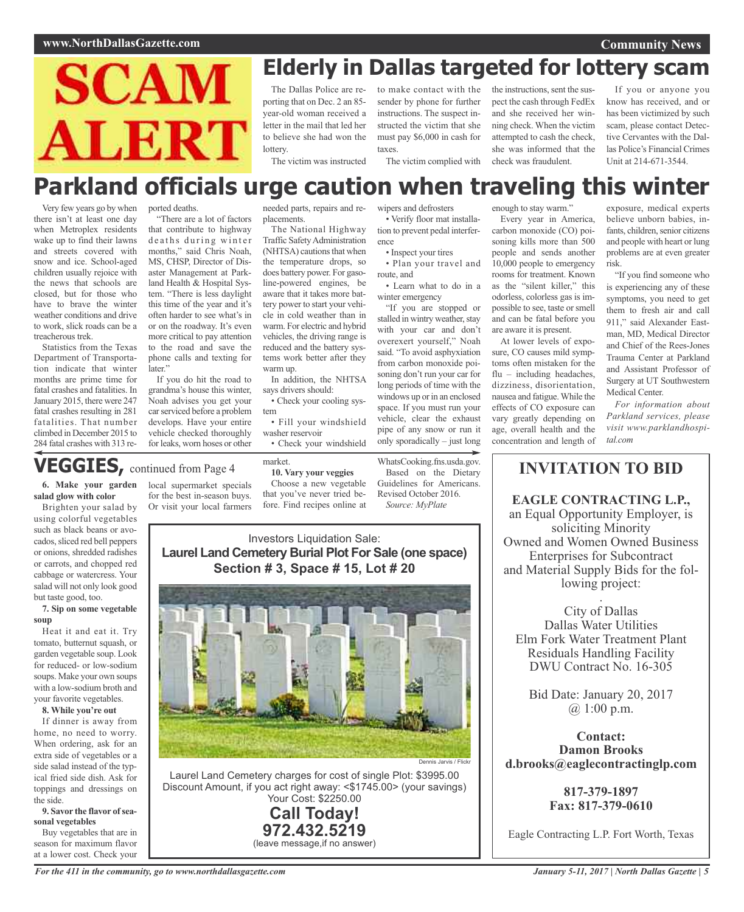

## **Elderly in Dallas targeted for lottery scam**

The Dallas Police are reporting that on Dec. 2 an 85 year-old woman received a letter in the mail that led her to believe she had won the lottery.

to make contact with the sender by phone for further instructions. The suspect instructed the victim that she must pay \$6,000 in cash for taxes.

The victim complied with

• Verify floor mat installa-

the instructions, sent the suspect the cash through FedEx and she received her winning check. When the victim attempted to cash the check, she was informed that the check was fraudulent.

If you or anyone you know has received, and or has been victimized by such scam, please contact Detective Cervantes with the Dallas Police's Financial Crimes Unit at 214-671-3544.

The victim was instructed

### **Parkland officials urge caution when traveling this winter** wipers and defrosters

Very few years go by when there isn't at least one day when Metroplex residents wake up to find their lawns and streets covered with snow and ice. School-aged children usually rejoice with the news that schools are closed, but for those who have to brave the winter weather conditions and drive to work, slick roads can be a treacherous trek.

Statistics from the Texas Department of Transportation indicate that winter months are prime time for fatal crashes and fatalities. In January 2015, there were 247 fatal crashes resulting in 281 fatalities. That number climbed in December 2015 to 284 fatal crashes with 313 reported deaths. "There are a lot of factors

months," said Chris Noah, MS, CHSP, Director of Disaster Management at Parkland Health & Hospital System. "There is less daylight this time of the year and it's often harder to see what's in or on the roadway. It's even more critical to pay attention to the road and save the phone calls and texting for

that contribute to highway deaths during winter needed parts, repairs and replacements. The National Highway

Traffic Safety Administration (NHTSA) cautions that when the temperature drops, so does battery power. For gasoline-powered engines, be aware that it takes more battery power to start your vehicle in cold weather than in warm. For electric and hybrid vehicles, the driving range is reduced and the battery systems work better after they warm up.

In addition, the NHTSA says drivers should: • Check your cooling sys-

tem

• Fill your windshield washer reservoir

• Check your windshield

market.

### **VEGGIES,** continued from Page <sup>4</sup>

later"

local supermarket specials for the best in-season buys. Or visit your local farmers

tion to prevent pedal interference • Inspect your tires

• Plan your travel and route, and

• Learn what to do in a winter emergency "If you are stopped or stalled in wintry weather, stay with your car and don't overexert yourself," Noah said. "To avoid asphyxiation from carbon monoxide poisoning don't run your car for long periods of time with the windows up or in an enclosed space. If you must run your vehicle, clear the exhaust pipe of any snow or run it only sporadically – just long

WhatsCooking.fns.usda.gov. Based on the Dietary Guidelines for Americans. Revised October 2016. *Source: MyPlate*

#### enough to stay warm."

Every year in America, carbon monoxide (CO) poisoning kills more than 500 people and sends another 10,000 people to emergency rooms for treatment. Known as the "silent killer," this odorless, colorless gas is impossible to see, taste or smell and can be fatal before you are aware it is present.

At lower levels of exposure, CO causes mild symptoms often mistaken for the flu – including headaches, dizziness, disorientation, nausea and fatigue.While the effects of CO exposure can vary greatly depending on age, overall health and the concentration and length of

exposure, medical experts believe unborn babies, infants, children, senior citizens and people with heart or lung problems are at even greater risk.

"If you find someone who is experiencing any of these symptoms, you need to get them to fresh air and call 911," said Alexander Eastman, MD, Medical Director and Chief of the Rees-Jones Trauma Center at Parkland and Assistant Professor of Surgery at UT Southwestern Medical Center.

*For information about Parkland services, please visit www.parklandhospital.com*

### **INVITATION TO BID**

**EAGLE CONTRACTING L.P.,** an Equal Opportunity Employer, is soliciting Minority Owned and Women Owned Business Enterprises for Subcontract and Material Supply Bids for the following project:

. City of Dallas Dallas Water Utilities Elm Fork Water Treatment Plant Residuals Handling Facility DWU Contract No. 16-305

Bid Date: January 20, 2017 @ 1:00 p.m.

**Contact: Damon Brooks d.brooks@eaglecontractinglp.com**

> **817-379-1897 Fax: 817-379-0610**

Eagle Contracting L.P. Fort Worth, Texas

using colorful vegetables such as black beans or avocados, sliced red bell peppers or onions, shredded radishes or carrots, and chopped red cabbage or watercress. Your salad will not only look good but taste good, too.

**6. Make your garden salad glow with color** Brighten your salad by

#### **7. Sip on some vegetable soup**

Heat it and eat it. Try tomato, butternut squash, or garden vegetable soup. Look for reduced- or low-sodium soups. Make your own soups with a low-sodium broth and your favorite vegetables.

#### **8. While you're out**

If dinner is away from home, no need to worry. When ordering, ask for an extra side of vegetables or a side salad instead of the typical fried side dish. Ask for toppings and dressings on the side.

#### **9. Savor the flavor ofseasonal vegetables**

Buy vegetables that are in season for maximum flavor at a lower cost. Check your

If you do hit the road to grandma's house this winter, Noah advises you get your car serviced before a problem develops. Have your entire vehicle checked thoroughly for leaks, worn hoses or other

> Choose a new vegetable that you've never tried before. Find recipes online at

**10. Vary your veggies**

Investors Liquidation Sale: **Laurel Land Cemetery Burial Plot For Sale (one space) Section # 3, Space # 15, Lot # 20**



Laurel Land Cemetery charges for cost of single Plot: \$3995.00 Discount Amount, if you act right away: <\$1745.00> (your savings) Your Cost: \$2250.00

> **Call Today! 972.432.5219** (leave message,if no answer)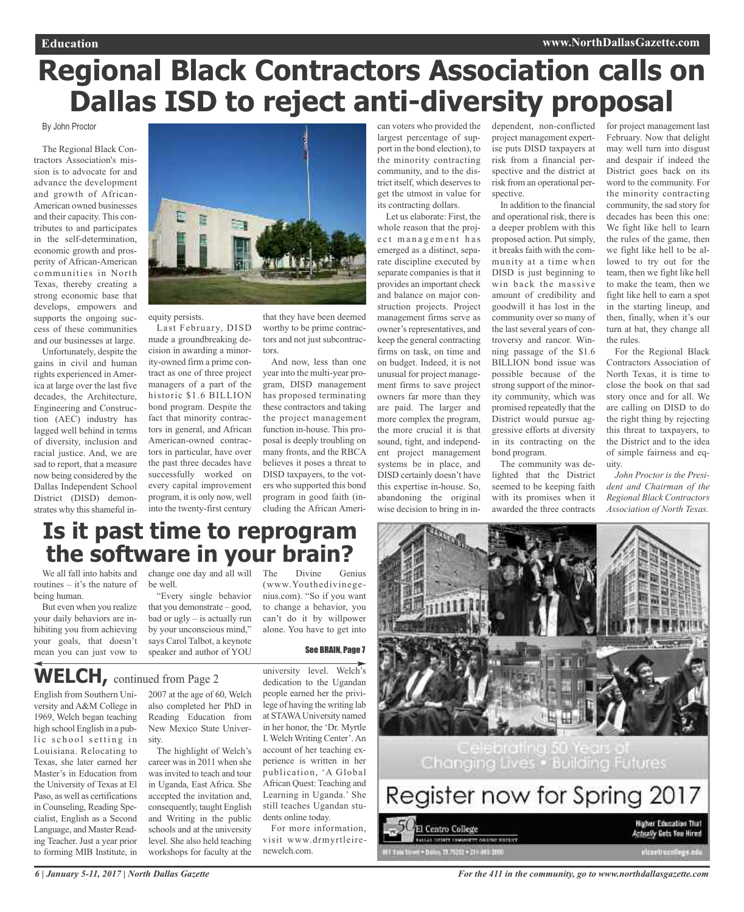## **Regional Black Contractors Association calls on Dallas ISD to reject anti-diversity proposal**

### By John Proctor

The Regional Black Contractors Association's mission is to advocate for and advance the development and growth of African-American owned businesses and their capacity. This contributes to and participates in the self-determination, economic growth and prosperity of African-American communities in North Texas, thereby creating a strong economic base that develops, empowers and supports the ongoing success of these communities and our businesses at large.

Unfortunately, despite the gains in civil and human rights experienced in America at large over the last five decades, the Architecture, Engineering and Construction (AEC) industry has lagged well behind in terms of diversity, inclusion and racial justice. And, we are sad to report, that a measure now being considered by the Dallas Independent School District (DISD) demonstrates why this shameful in-



equity persists.

Last February, DISD made a groundbreaking decision in awarding a minority-owned firm a prime contract as one of three project managers of a part of the historic \$1.6 BILLION bond program. Despite the fact that minority contractors in general, and African American-owned contractors in particular, have over the past three decades have successfully worked on every capital improvement program, it is only now, well into the twenty-first century

that they have been deemed worthy to be prime contractors and not just subcontractors.

And now, less than one year into the multi-year program, DISD management has proposed terminating these contractors and taking the project management function in-house. This proposal is deeply troubling on many fronts, and the RBCA believes it poses a threat to DISD taxpayers, to the voters who supported this bond program in good faith (including the African American voters who provided the largest percentage of support in the bond election), to the minority contracting community, and to the district itself, which deserves to get the utmost in value for its contracting dollars.

Let us elaborate: First, the whole reason that the project management has emerged as a distinct, separate discipline executed by separate companies is that it provides an important check and balance on major construction projects. Project management firms serve as owner's representatives, and keep the general contracting firms on task, on time and on budget. Indeed, it is not unusual for project management firms to save project owners far more than they are paid. The larger and more complex the program, the more crucial it is that sound, tight, and independent project management systems be in place, and DISD certainly doesn't have this expertise in-house. So, abandoning the original wise decision to bring in independent, non-conflicted project management expertise puts DISD taxpayers at risk from a financial perspective and the district at risk from an operational perspective.

In addition to the financial and operational risk, there is a deeper problem with this proposed action. Put simply, it breaks faith with the community at a time when DISD is just beginning to win back the massive amount of credibility and goodwill it has lost in the community over so many of the last several years of controversy and rancor. Winning passage of the \$1.6 BILLION bond issue was possible because of the strong support of the minority community, which was promised repeatedly that the District would pursue aggressive efforts at diversity in its contracting on the bond program.

The community was delighted that the District seemed to be keeping faith with its promises when it awarded the three contracts

for project management last February. Now that delight may well turn into disgust and despair if indeed the District goes back on its word to the community. For the minority contracting community, the sad story for decades has been this one: We fight like hell to learn the rules of the game, then we fight like hell to be allowed to try out for the team, then we fight like hell to make the team, then we fight like hell to earn a spot in the starting lineup, and then, finally, when it's our turn at bat, they change all the rules.

For the Regional Black Contractors Association of North Texas, it is time to close the book on that sad story once and for all. We are calling on DISD to do the right thing by rejecting this threat to taxpayers, to the District and to the idea of simple fairness and equity.

*John Proctor is the President and Chairman of the Regional Black Contractors Association of North Texas.*

### **Is it past time to reprogram the software in your brain?**

We all fall into habits and routines – it's the nature of being human.

But even when you realize your daily behaviors are inhibiting you from achieving your goals, that doesn't mean you can just vow to

change one day and all will The be well.

"Every single behavior that you demonstrate – good, bad or ugly – is actually run by your unconscious mind," says Carol Talbot, a keynote speaker and author of YOU

Divine Genius (www.Youthedivinegenius.com). "So if you want to change a behavior, you can't do it by willpower alone. You have to get into

### See BRAIN, Page 7

### **WELCH,** continued from Page <sup>2</sup>

English from Southern University and A&M College in 1969, Welch began teaching high school English in a public school setting in Louisiana. Relocating to Texas, she later earned her Master's in Education from the University of Texas at El Paso, as well as certifications in Counseling, Reading Specialist, English as a Second Language, and Master Reading Teacher. Just a year prior to forming MIB Institute, in 2007 at the age of 60, Welch also completed her PhD in Reading Education from New Mexico State University.

The highlight of Welch's career was in 2011 when she was invited to teach and tour in Uganda, East Africa. She accepted the invitation and, consequently, taught English and Writing in the public schools and at the university level. She also held teaching workshops for faculty at the university level. Welch's dedication to the Ugandan people earned her the privilege of having the writing lab at STAWA University named in her honor, the 'Dr. Myrtle I. Welch Writing Center'.An account of her teaching experience is written in her publication, 'A Global African Quest: Teaching and Learning in Uganda.' She still teaches Ugandan students online today.

For more information, visit www.drmyrtleirenewelch.com.



Changing Lives . Building Futures

| Register now for Spring 2017 |                                                                |
|------------------------------|----------------------------------------------------------------|
| El Centro College            | <b>Higher Education That</b><br><b>Actually Gets You Hired</b> |
|                              |                                                                |

*For the 411 in the community, go to www.northdallasgazette.com*

*6 | January 5-11, 2017 | North Dallas Gazette*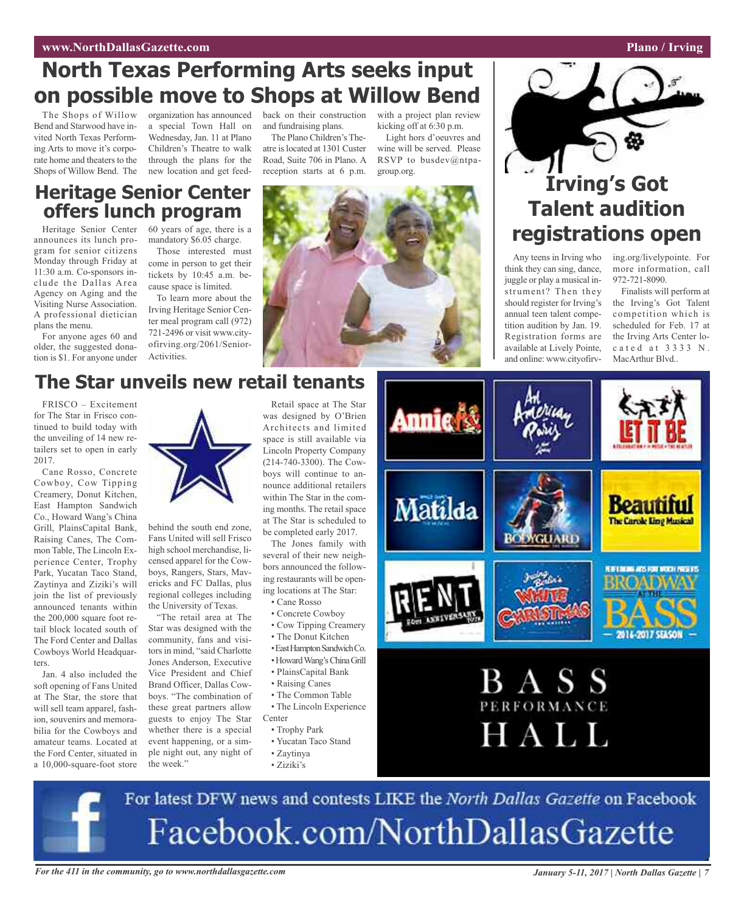### **www.NorthDallasGazette.com Plano** / **Irving**

### **North Texas Performing Arts seeks input on possible move to Shops at Willow Bend**

The Shops of Willow Bend and Starwood have invited North Texas Performing Arts to move it's corporate home and theaters to the Shops of Willow Bend. The

organization has announced back on their construction a special Town Hall on Wednesday, Jan. 11 at Plano Children's Theatre to walk through the plans for the new location and get feed-

and fundraising plans.

The Plano Children's Theatre islocated at 1301 Custer Road, Suite 706 in Plano. A reception starts at 6 p.m.

with a project plan review kicking off at 6:30 p.m. Light hors d'oeuvres and

wine will be served. Please RSVP to busdev@ntpagroup.org.

### **Heritage Senior Center offers lunch program**

Heritage Senior Center announces its lunch program for senior citizens Monday through Friday at 11:30 a.m. Co-sponsors include the Dallas Area Agency on Aging and the Visiting Nurse Association. A professional dietician plans the menu.

For anyone ages 60 and older, the suggested donation is \$1. For anyone under 60 years of age, there is a mandatory \$6.05 charge. Those interested must

come in person to get their tickets by 10:45 a.m. because space is limited.

To learn more about the Irving Heritage Senior Center meal program call (972) 721-2496 or visit www.cityofirving.org/2061/Senior-Activities.





### **Irving's Got Talent audition registrations open**

Any teens in Irving who think they can sing, dance, juggle or play a musical instrument? Then they should register for Irving's annual teen talent competition audition by Jan. 19. Registration forms are available at Lively Pointe, and online: www.cityofirving.org/livelypointe. For more information, call 972-721-8090.

Finalists will perform at the Irving's Got Talent competition which is scheduled for Feb. 17 at the Irving Arts Center loc a t e d a t 3 3 3 3 N. MacArthur Blvd..

### **The Star unveils new retail tenants**

FRISCO – Excitement for The Star in Frisco continued to build today with the unveiling of 14 new retailers set to open in early 2017.

Cane Rosso, Concrete Cowboy, Cow Tipping Creamery, Donut Kitchen, East Hampton Sandwich Co., Howard Wang's China Grill, PlainsCapital Bank, Raising Canes, The Common Table, The Lincoln Experience Center, Trophy Park, Yucatan Taco Stand, Zaytinya and Ziziki's will join the list of previously announced tenants within the 200,000 square foot retail block located south of The Ford Center and Dallas Cowboys World Headquarters.

Jan. 4 also included the soft opening of Fans United at The Star, the store that will sell team apparel, fashion, souvenirs and memorabilia for the Cowboys and amateur teams. Located at the Ford Center, situated in a 10,000-square-foot store



behind the south end zone, Fans United will sell Frisco high school merchandise, licensed apparel for the Cowboys, Rangers, Stars, Mavericks and FC Dallas, plus regional colleges including the University of Texas.

"The retail area at The Star was designed with the community, fans and visitors in mind, "said Charlotte Jones Anderson, Executive Vice President and Chief Brand Officer, Dallas Cowboys. "The combination of these great partners allow guests to enjoy The Star whether there is a special event happening, or a simple night out, any night of the week."

Retail space at The Star was designed by O'Brien Architects and limited space is still available via Lincoln Property Company (214-740-3300). The Cowboys will continue to announce additional retailers within The Star in the coming months. The retail space at The Star is scheduled to be completed early 2017.

The Jones family with several of their new neighbors announced the following restaurants will be opening locations at The Star:

- Cane Rosso
- Concrete Cowboy
- Cow Tipping Creamery
- The Donut Kitchen
- •EastHamptonSandwichCo.
- •HowardWang'sChinaGrill
- PlainsCapital Bank
- Raising Canes • The Common Table
- The Lincoln Experience Center
	- Trophy Park
- Yucatan Taco Stand
- Zaytinya
- Ziziki's



For latest DFW news and contests LIKE the North Dallas Gazette on Facebook Facebook.com/NorthDallasGazette

For the 411 in the community, go to www.northdallasgazette.com January 5-11, 2017 | North Dallas Gazette | 7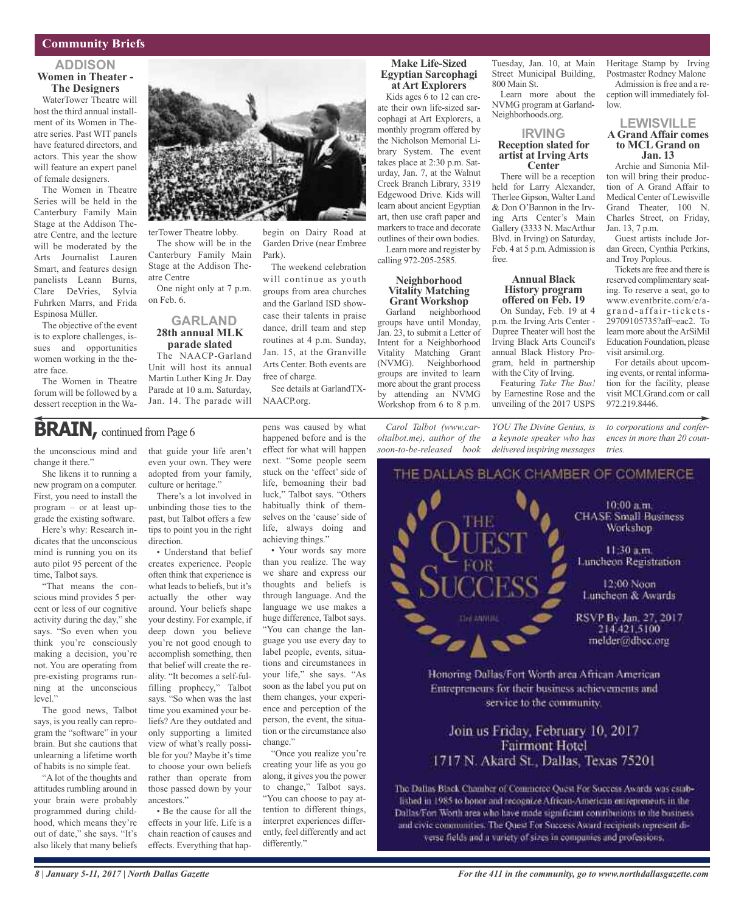### **Community Briefs**

### **ADDISON Women in Theater - The Designers**

WaterTower Theatre will host the third annual installment of its Women in Theatre series. Past WIT panels have featured directors, and actors. This year the show will feature an expert panel of female designers.

The Women in Theatre Series will be held in the Canterbury Family Main Stage at the Addison Theatre Centre, and the lecture will be moderated by the Arts Journalist Lauren Smart, and features design panelists Leann Burns, Clare DeVries, Sylvia Fuhrken Marrs, and Frida Espinosa Müller.

The objective of the event is to explore challenges, issues and opportunities women working in the theatre face.

The Women in Theatre forum will be followed by a dessert reception in the Wa-



Park).

free of charge.

NAACP.org.

terTower Theatre lobby. The show will be in the Canterbury Family Main Stage at the Addison Theatre Centre

One night only at 7 p.m. on Feb. 6.

### **GARLAND 28th annual MLK parade slated**

The NAACP-Garland Unit will host its annual Martin Luther King Jr. Day Parade at 10 a.m. Saturday, Jan. 14. The parade will

### **BRAIN**, continued from Page 6

the unconscious mind and change it there."

She likens it to running a new program on a computer. First, you need to install the program – or at least upgrade the existing software.

Here's why: Research indicates that the unconscious mind is running you on its auto pilot 95 percent of the time, Talbot says.

"That means the conscious mind provides 5 percent or less of our cognitive activity during the day," she says. "So even when you think you're consciously making a decision, you're not. You are operating from pre-existing programs running at the unconscious level."

The good news, Talbot says, is you really can reprogram the "software" in your brain. But she cautions that unlearning a lifetime worth of habits is no simple feat.

"A lot of the thoughts and attitudes rumbling around in your brain were probably programmed during childhood, which means they're out of date," she says. "It's also likely that many beliefs

that guide your life aren't even your own. They were adopted from your family, culture or heritage." There's a lot involved in

unbinding those ties to the past, but Talbot offers a few tips to point you in the right direction.

• Understand that belief creates experience. People often think that experience is what leads to beliefs, but it's actually the other way around. Your beliefs shape your destiny. For example, if deep down you believe you're not good enough to accomplish something, then that belief will create the reality. "It becomes a self-fulfilling prophecy," Talbot says. "So when was the last time you examined your beliefs? Are they outdated and only supporting a limited view of what's really possible for you? Maybe it's time to choose your own beliefs rather than operate from those passed down by your ancestors."

• Be the cause for all the effects in your life. Life is a chain reaction of causes and effects. Everything that hap-

pens was caused by what happened before and is the effect for what will happen next. "Some people seem stuck on the 'effect' side of life, bemoaning their bad luck," Talbot says. "Others habitually think of themselves on the 'cause' side of life, always doing and achieving things."

See details at GarlandTX-

begin on Dairy Road at Garden Drive (near Embree

The weekend celebration will continue as youth groups from area churches and the Garland ISD showcase their talents in praise dance, drill team and step routines at 4 p.m. Sunday, Jan. 15, at the Granville Arts Center. Both events are

• Your words say more than you realize. The way we share and express our thoughts and beliefs is through language. And the language we use makes a huge difference, Talbot says. "You can change the language you use every day to label people, events, situations and circumstances in your life," she says. "As soon as the label you put on them changes, your experience and perception of the person, the event, the situation or the circumstance also change."

"Once you realize you're creating your life as you go along, it gives you the power to change," Talbot says. "You can choose to pay attention to different things, interpret experiences differently, feel differently and act differently."

#### **Make Life-Sized Egyptian Sarcophagi at Art Explorers**

Kids ages 6 to 12 can create their own life-sized sarcophagi at Art Explorers, a monthly program offered by the Nicholson Memorial Library System. The event takes place at 2:30 p.m. Saturday, Jan. 7, at the Walnut Creek Branch Library, 3319 Edgewood Drive. Kids will learn about ancient Egyptian art, then use craft paper and markers to trace and decorate outlines of their own bodies. Learn more and register by calling 972-205-2585.

#### **Neighborhood Vitality Matching Grant Workshop** Garland neighborhood

groups have until Monday, Jan. 23, to submit a Letter of Intent for a Neighborhood Vitality Matching Grant (NVMG). Neighborhood groups are invited to learn more about the grant process by attending an NVMG Workshop from 6 to 8 p.m.

*Carol Talbot (www.caroltalbot.me), author of the soon-to-be-released book*

Tuesday, Jan. 10, at Main Street Municipal Building, 800 Main St.

Learn more about the NVMG program at Garland-Neighborhoods.org.

#### **IRVING Reception slated for artist at Irving Arts Center**

There will be a reception held for Larry Alexander, Therlee Gipson, Walter Land & Don O'Bannon in the Irving Arts Center's Main Gallery (3333 N. MacArthur Blvd. in Irving) on Saturday, Feb. 4 at 5 p.m. Admission is free.

### **Annual Black History program offered on Feb. 19**

On Sunday, Feb. 19 at 4 p.m. the Irving Arts Center - Dupree Theater will host the Irving Black Arts Council's annual Black History Program, held in partnership with the City of Irving.

Featuring *Take The Bus!* by Earnestine Rose and the unveiling of the 2017 USPS

*YOU The Divine Genius, is a keynote speaker who has delivered inspiring messages*

Heritage Stamp by Irving Postmaster Rodney Malone

Admission is free and a reception will immediately follow.

#### **LEWISVILLE AGrand Affair comes to MCLGrand on Jan. 13**

Archie and Simonia Milton will bring their production of A Grand Affair to Medical Center of Lewisville Grand Theater, 100 N. Charles Street, on Friday, Jan. 13, 7 p.m.

Guest artists include Jordan Green, Cynthia Perkins, and Troy Poplous.

Tickets are free and there is reserved complimentary seating. To reserve a seat, go to www.eventbrite.com/e/ag r a n d - a ff a ir-t i c k e ts-29709105735?aff=eac2. To learn more about the ArSiMil Education Foundation, please visit arsimil.org.

For details about upcoming events, or rental information for the facility, please visit MCLGrand.com or call 972.219.8446.

*to corporations and conferences in more than 20 countries.*



Honoring Dallas/Fort Worth area African American Entrepreneurs for their business achievements and service to the community.

### Join us Friday, February 10, 2017 **Fairmont Hotel** 1717 N. Akard St., Dallas, Texas 75201

The Dallas Black Chamber of Commerce Quest For Success Awards was established in 1985 to honor and recognize African-American entrepreneurs in the Dallas/Fort Worth area who have made significant contributions to the businessand civic communities. The Quest For Success Award recipients represent diverse fields and a variety of sizes in companies and professions,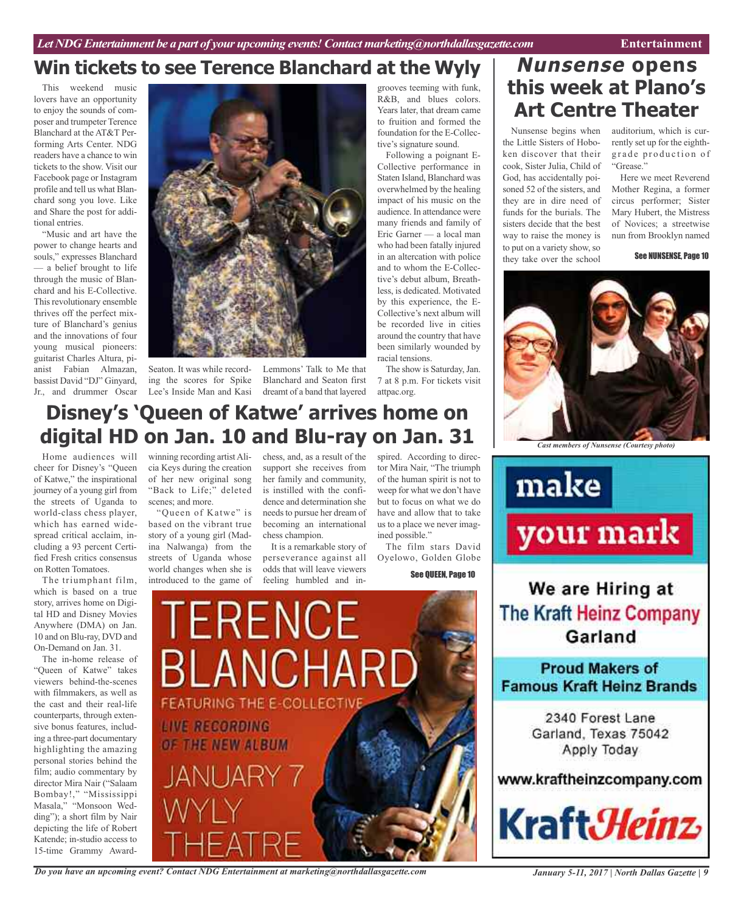### **Win tickets to see Terence Blanchard at the Wyly**

This weekend music lovers have an opportunity to enjoy the sounds of composer and trumpeter Terence Blanchard at the AT&T Performing Arts Center. NDG readers have a chance to win tickets to the show. Visit our Facebook page or Instagram profile and tell us what Blanchard song you love. Like and Share the post for additional entries.

"Music and art have the power to change hearts and souls," expresses Blanchard — a belief brought to life through the music of Blanchard and his E-Collective. This revolutionary ensemble thrives off the perfect mixture of Blanchard's genius and the innovations of four young musical pioneers: guitarist Charles Altura, pianist Fabian Almazan, bassist David "DJ" Ginyard, Jr., and drummer Oscar



Lee's Inside Man and Kasi dreamt of a band that layered

Seaton. It was while record-Lemmons' Talk to Me that ing the scores for Spike Blanchard and Seaton first

grooves teeming with funk, R&B, and blues colors. Years later, that dream came to fruition and formed the foundation for the E-Collective's signature sound.

Following a poignant E-Collective performance in Staten Island, Blanchard was overwhelmed by the healing impact of his music on the audience. In attendance were many friends and family of Eric Garner — a local man who had been fatally injured in an altercation with police and to whom the E-Collective's debut album, Breathless, is dedicated. Motivated by this experience, the E-Collective's next album will be recorded live in cities around the country that have been similarly wounded by racial tensions.

The show is Saturday, Jan. 7 at 8 p.m. For tickets visit attpac.org.

### **Disney's 'Queen of Katwe' arrives home on digital HD on Jan. 10 and Blu-ray on Jan. 31**

Home audiences will cheer for Disney's "Queen of Katwe," the inspirational journey of a young girl from the streets of Uganda to world-class chess player, which has earned widespread critical acclaim, including a 93 percent Certified Fresh critics consensus on Rotten Tomatoes.

The triumphant film, which is based on a true story, arrives home on Digital HD and Disney Movies Anywhere (DMA) on Jan. 10 and on Blu-ray, DVD and On-Demand on Jan. 31.

The in-home release of "Queen of Katwe" takes viewers behind-the-scenes with filmmakers, as well as the cast and their real-life counterparts, through extensive bonus features, including a three-part documentary highlighting the amazing personal stories behind the film; audio commentary by director Mira Nair ("Salaam Bombay!," "Mississippi Masala," "Monsoon Wedding"); a short film by Nair depicting the life of Robert Katende; in-studio access to 15-time Grammy Award-

winning recording artistAlicia Keys during the creation of her new original song "Back to Life;" deleted scenes; and more.

"Queen of Katwe" is based on the vibrant true story of a young girl (Madina Nalwanga) from the streets of Uganda whose world changes when she is introduced to the game of

chess, and, as a result of the support she receives from her family and community, is instilled with the confidence and determination she needs to pursue her dream of becoming an international chess champion.

It is a remarkable story of perseverance against all odds that will leave viewers feeling humbled and inspired. According to director Mira Nair, "The triumph of the human spirit is not to weep for what we don't have but to focus on what we do have and allow that to take us to a place we never imagined possible."

The film stars David Oyelowo, Golden Globe

See QUEEN, Page 10

**TERENCE BLANCHARD FEATURING THE E-COLLECTIVE LIVE RECORDING** OF THE NEW ALBUM JANIJARY 7

*Do you have an upcoming event? Contact NDG Entertainment at marketing@northdallasgazette.com*

### **Nunsense opens this week at Plano's Art Centre Theater**

the Little Sisters of Hoboken discover that their cook, Sister Julia, Child of God, has accidentally poisoned 52 of the sisters, and they are in dire need of funds for the burials. The sisters decide that the best way to raise the money is to put on a variety show, so they take over the school

Nunsense begins when auditorium, which is currently set up for the eighthgrade production of "Grease."

> Here we meet Reverend Mother Regina, a former circus performer; Sister Mary Hubert, the Mistress of Novices; a streetwise nun from Brooklyn named

> > See NUNSENSE, Page 10



*Cast members of Nunsense (Courtesy photo)*



We are Hiring at **The Kraft Heinz Company** Garland

**Proud Makers of Famous Kraft Heinz Brands** 

> 2340 Forest Lane Garland, Texas 75042 Apply Today

### www.kraftheinzcompany.com

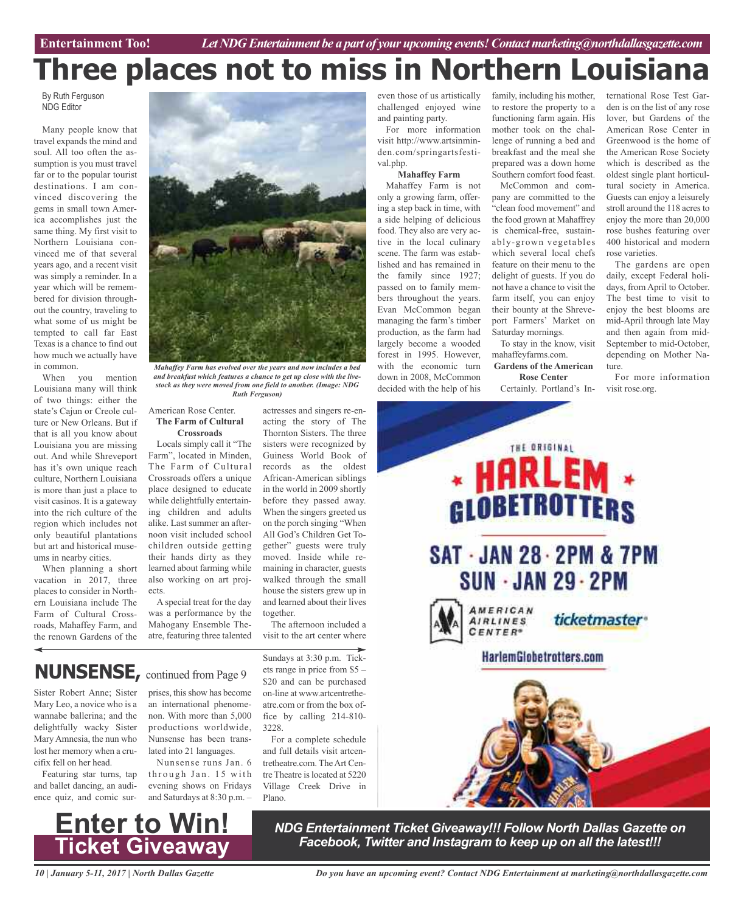# **Three places not to miss in Northern**

By Ruth Ferguson NDG Editor

Many people know that travel expands the mind and soul. All too often the assumption is you must travel far or to the popular tourist destinations. I am convinced discovering the gems in small town America accomplishes just the same thing. My first visit to Northern Louisiana convinced me of that several years ago, and a recent visit was simply a reminder. In a year which will be remembered for division throughout the country, traveling to what some of us might be tempted to call far East Texas is a chance to find out how much we actually have in common.

When you mention Louisiana many will think of two things: either the state's Cajun or Creole culture or New Orleans. But if that is all you know about Louisiana you are missing out. And while Shreveport has it's own unique reach culture, Northern Louisiana is more than just a place to visit casinos. It is a gateway into the rich culture of the region which includes not only beautiful plantations but art and historical museums in nearby cities.

When planning a short vacation in 2017, three places to consider in Northern Louisiana include The Farm of Cultural Crossroads, Mahaffey Farm, and the renown Gardens of the



*Mahaffey Farm has evolved over the years and now includes a bed and breakfast which features a chance to get up close with the livestock as they were moved from one field to another. (Image: NDG Ruth Ferguson)*

#### American Rose Center. **The Farm of Cultural Crossroads**

Locals simply call it "The Farm", located in Minden, The Farm of Cultural Crossroads offers a unique place designed to educate while delightfully entertaining children and adults alike. Last summer an afternoon visit included school children outside getting their hands dirty as they learned about farming while also working on art projects.

A special treat for the day was a performance by the Mahogany Ensemble Theatre, featuring three talented

actresses and singers re-enacting the story of The Thornton Sisters. The three sisters were recognized by Guiness World Book of records as the oldest African-American siblings in the world in 2009 shortly before they passed away. When the singers greeted us on the porch singing "When All God's Children Get Together" guests were truly moved. Inside while remaining in character, guests walked through the small house the sisters grew up in and learned about their lives together.

The afternoon included a visit to the art center where

### **NUNSENSE,** continued from Page <sup>9</sup>

Sister Robert Anne; Sister Mary Leo, a novice who is a wannabe ballerina; and the delightfully wacky Sister Mary Amnesia, the nun who lost her memory when a crucifix fell on her head.

Featuring star turns, tap and ballet dancing, an audience quiz, and comic sur-



Nunsense runs Jan. 6 through Jan. 15 with evening shows on Fridays and Saturdays at 8:30 p.m. –

Sundays at 3:30 p.m. Tickets range in price from \$5 – \$20 and can be purchased on-line at www.artcentretheatre.com or from the box office by calling 214-810- 3228.

For a complete schedule and full details visit artcentretheatre.com. TheArt Centre Theatre is located at 5220 Village Creek Drive in Plano.

even those of us artistically challenged enjoyed wine and painting party. For more information

visit http://www.artsinminden.com/springartsfestival.php.

#### **Mahaffey Farm**

Mahaffey Farm is not only a growing farm, offering a step back in time, with a side helping of delicious food. They also are very active in the local culinary scene. The farm was established and has remained in the family since 1927; passed on to family members throughout the years. Evan McCommon began managing the farm's timber production, as the farm had largely become a wooded forest in 1995. However, with the economic turn down in 2008, McCommon decided with the help of his

family, including his mother, to restore the property to a functioning farm again. His mother took on the challenge of running a bed and breakfast and the meal she prepared was a down home Southern comfort food feast.

McCommon and company are committed to the "clean food movement" and the food grown at Mahaffrey is chemical-free, sustainably-grown vegetables which several local chefs feature on their menu to the delight of guests. If you do not have a chance to visit the farm itself, you can enjoy their bounty at the Shreveport Farmers' Market on Saturday mornings. To stay in the know, visit

mahaffeyfarms.com. **Gardens of the American**

**Rose Center** Certainly. Portland's International Rose Test Garden is on the list of any rose lover, but Gardens of the American Rose Center in Greenwood is the home of the American Rose Society which is described as the oldest single plant horticultural society in America. Guests can enjoy a leisurely stroll around the 118 acres to enjoy the more than 20,000 rose bushes featuring over 400 historical and modern rose varieties.

The gardens are open daily, except Federal holidays, from April to October. The best time to visit to enjoy the best blooms are mid-April through late May and then again from mid-September to mid-October, depending on Mother Nature.

For more information visit rose.org.





*NDG Entertainment Ticket Giveaway!!! Follow North Dallas Gazette on Facebook, Twitter and Instagram to keep up on all the latest!!!*

*10 | January 5-11, 2017 | North Dallas Gazette*

*Do you have an upcoming event? Contact NDG Entertainment at marketing@northdallasgazette.com*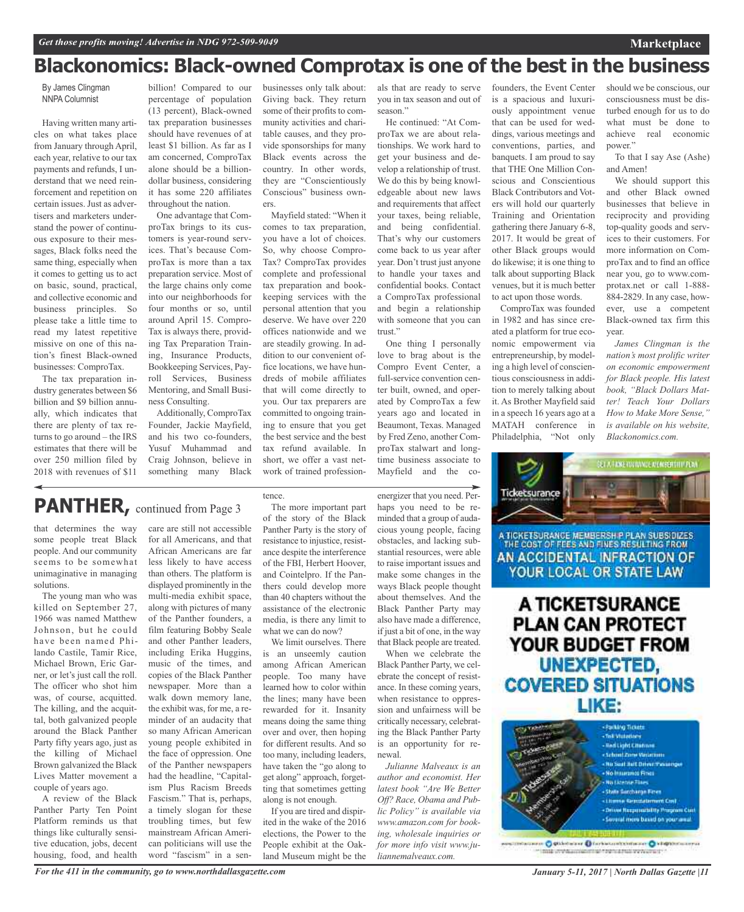### **Blackonomics: Black-owned Comprotax is one of the best in the business**

By James Clingman NNPA Columnist

Having written many articles on what takes place from January through April, each year, relative to our tax payments and refunds, I understand that we need reinforcement and repetition on certain issues. Just as advertisers and marketers understand the power of continuous exposure to their messages, Black folks need the same thing, especially when it comes to getting us to act on basic, sound, practical, and collective economic and business principles. So please take a little time to read my latest repetitive missive on one of this nation's finest Black-owned businesses: ComproTax.

The tax preparation industry generates between \$6 billion and \$9 billion annually, which indicates that there are plenty of tax returns to go around – the IRS estimates that there will be over 250 million filed by 2018 with revenues of \$11

billion! Compared to our percentage of population (13 percent), Black-owned tax preparation businesses should have revenues of at least \$1 billion. As far as I am concerned, ComproTax alone should be a billiondollar business, considering it has some 220 affiliates throughout the nation.

One advantage that ComproTax brings to its customers is year-round services. That's because ComproTax is more than a tax preparation service. Most of the large chains only come into our neighborhoods for four months or so, until around April 15. Compro-Tax is always there, providing Tax Preparation Training, Insurance Products, Bookkeeping Services, Payroll Services, Business Mentoring, and Small Business Consulting.

Additionally, ComproTax Founder, Jackie Mayfield, and his two co-founders, Yusuf Muhammad and Craig Johnson, believe in something many Black businesses only talk about: Giving back. They return some of their profits to community activities and charitable causes, and they provide sponsorships for many Black events across the country. In other words, they are "Conscientiously Conscious" business owners.

Mayfield stated: "When it comes to tax preparation, you have a lot of choices. So, why choose Compro-Tax? ComproTax provides complete and professional tax preparation and bookkeeping services with the personal attention that you deserve. We have over 220 offices nationwide and we are steadily growing. In addition to our convenient office locations, we have hundreds of mobile affiliates that will come directly to you. Our tax preparers are committed to ongoing training to ensure that you get the best service and the best tax refund available. In short, we offer a vast network of trained profession-

als that are ready to serve you in tax season and out of season."

He continued: "At ComproTax we are about relationships. We work hard to get your business and develop a relationship of trust. We do this by being knowledgeable about new laws and requirements that affect your taxes, being reliable, and being confidential. That's why our customers come back to us year after year. Don't trust just anyone to handle your taxes and confidential books. Contact a ComproTax professional and begin a relationship with someone that you can trust."

One thing I personally love to brag about is the Compro Event Center, a full-service convention center built, owned, and operated by ComproTax a few years ago and located in Beaumont, Texas. Managed by Fred Zeno, another ComproTax stalwart and longtime business associate to Mayfield and the co-

energizer that you need. Per-

When we celebrate the Black Panther Party, we celebrate the concept of resistance. In these coming years, when resistance to oppression and unfairness will be critically necessary, celebrating the Black Panther Party is an opportunity for renewal.

*Julianne Malveaux is an author and economist. Her latest book "Are We Better Off? Race, Obama and Public Policy" is available via www.amazon.com for booking, wholesale inquiries or for more info visit www.ju-* is a spacious and luxuriously appointment venue that can be used for weddings, various meetings and conventions, parties, and banquets. I am proud to say that THE One Million Conscious and Conscientious Black Contributors and Voters will hold our quarterly Training and Orientation gathering there January 6-8, 2017. It would be great of other Black groups would do likewise; it is one thing to talk about supporting Black venues, but it is much better to act upon those words.

founders, the Event Center

ComproTax was founded in 1982 and has since created a platform for true economic empowerment via entrepreneurship, by modeling a high level of conscientious consciousness in addition to merely talking about it. As Brother Mayfield said in a speech 16 years ago at a MATAH conference in Philadelphia, "Not only

should we be conscious, our consciousness must be disturbed enough for us to do what must be done to achieve real economic power."

**Marketplace**

To that I say Ase (Ashe) and Amen!

We should support this and other Black owned businesses that believe in reciprocity and providing top-quality goods and services to their customers. For more information on ComproTax and to find an office near you, go to www.comprotax.net or call 1-888- 884-2829. In any case, however, use a competent Black-owned tax firm this year.

*James Clingman is the nation's most prolific writer on economic empowerment for Black people. His latest book, "Black Dollars Matter! Teach Your Dollars How to Make More Sense," is available on his website, Blackonomics.com.*

ET A FANE TOVINNOE MEMBEREHIT PEN



### **PLAN CAN PROTECT** YOUR BUDGET FROM **UNEXPECTED, COVERED SITUATIONS** LIKE:



mik invisioneeringi tehsitrat venomet

### PANTHER, continued from Page 3

that determines the way some people treat Black people. And our community seems to be somewhat unimaginative in managing solutions.

The young man who was killed on September 27, 1966 was named Matthew Johnson, but he could have been named Philando Castile, Tamir Rice, Michael Brown, Eric Garner, or let's just call the roll. The officer who shot him was, of course, acquitted. The killing, and the acquittal, both galvanized people around the Black Panther Party fifty years ago, just as the killing of Michael Brown galvanized the Black Lives Matter movement a couple of years ago.

A review of the Black Panther Party Ten Point Platform reminds us that things like culturally sensitive education, jobs, decent housing, food, and health

care are still not accessible for all Americans, and that African Americans are far less likely to have access than others. The platform is displayed prominently in the multi-media exhibit space, along with pictures of many of the Panther founders, a film featuring Bobby Seale and other Panther leaders, including Erika Huggins, music of the times, and copies of the Black Panther newspaper. More than a walk down memory lane, the exhibit was, for me, a reminder of an audacity that so many African American young people exhibited in the face of oppression. One of the Panther newspapers had the headline, "Capitalism Plus Racism Breeds Fascism." That is, perhaps, a timely slogan for these troubling times, but few mainstream African American politicians will use the word "fascism" in a sen-

The more important part of the story of the Black Panther Party is the story of resistance to injustice, resistance despite the interference of the FBI, Herbert Hoover, and Cointelpro. If the Panthers could develop more than 40 chapters without the assistance of the electronic media, is there any limit to what we can do now?

tence.

We limit ourselves. There is an unseemly caution among African American people. Too many have learned how to color within the lines; many have been rewarded for it. Insanity means doing the same thing over and over, then hoping for different results. And so too many, including leaders, have taken the "go along to get along" approach, forgetting that sometimes getting along is not enough.

If you are tired and dispirited in the wake of the 2016 elections, the Power to the People exhibit at the Oakland Museum might be the haps you need to be reminded that a group of audacious young people, facing obstacles, and lacking substantial resources, were able to raise important issues and make some changes in the ways Black people thought about themselves. And the Black Panther Party may also have made a difference, if just a bit of one, in the way that Black people are treated.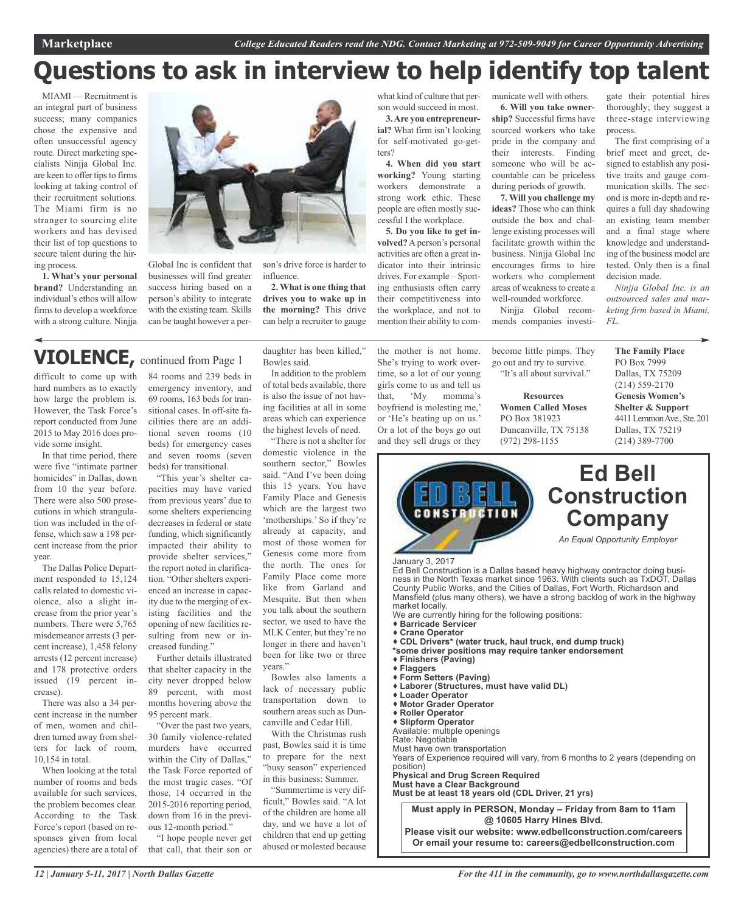## **Questions to ask in interview to help identify top talent**

MIAMI — Recruitment is an integral part of business success; many companies chose the expensive and often unsuccessful agency route. Direct marketing specialists Ninjja Global Inc. are keen to offer tips to firms looking at taking control of their recruitment solutions. The Miami firm is no stranger to sourcing elite workers and has devised their list of top questions to secure talent during the hiring process.

**1. What's your personal brand?** Understanding an individual's ethos will allow firms to develop a workforce with a strong culture. Ninjja



influence.

Global Inc is confident that businesses will find greater success hiring based on a person's ability to integrate with the existing team. Skills can be taught however a per-

### **VIOLENCE,** continued from Page <sup>1</sup>

difficult to come up with hard numbers as to exactly how large the problem is. However, the Task Force's report conducted from June 2015 to May 2016 does provide some insight.

In that time period, there were five "intimate partner homicides" in Dallas, down from 10 the year before. There were also 500 prosecutions in which strangulation was included in the offense, which saw a 198 percent increase from the prior year.

The Dallas Police Department responded to 15,124 calls related to domestic violence, also a slight increase from the prior year's numbers. There were 5,765 misdemeanor arrests (3 percent increase), 1,458 felony arrests (12 percent increase) and 178 protective orders issued (19 percent increase).

There was also a 34 percent increase in the number of men, women and children turned away from shelters for lack of room, 10,154 in total.

When looking at the total number of rooms and beds available for such services, the problem becomes clear. According to the Task Force's report (based on responses given from local agencies) there are a total of 84 rooms and 239 beds in emergency inventory, and 69 rooms, 163 beds for transitional cases. In off-site facilities there are an additional seven rooms (10 beds) for emergency cases and seven rooms (seven beds) for transitional.

"This year's shelter capacities may have varied from previous years' due to some shelters experiencing decreases in federal or state funding, which significantly impacted their ability to provide shelter services," the report noted in clarification. "Other shelters experienced an increase in capacity due to the merging of existing facilities and the opening of new facilities resulting from new or increased funding."

Further details illustrated that shelter capacity in the city never dropped below 89 percent, with most months hovering above the 95 percent mark.

"Over the past two years, 30 family violence-related murders have occurred within the City of Dallas," the Task Force reported of the most tragic cases. "Of those, 14 occurred in the 2015-2016 reporting period, down from 16 in the previous 12-month period."

"I hope people never get that call, that their son or daughter has been killed," Bowles said.

**2. What is one thing that drives you to wake up in the morning?** This drive can help a recruiter to gauge

In addition to the problem of total beds available, there is also the issue of not having facilities at all in some areas which can experience the highest levels of need.

"There is not a shelter for domestic violence in the southern sector," Bowles said. "And I've been doing this 15 years. You have Family Place and Genesis which are the largest two 'motherships.' So if they're already at capacity, and most of those women for Genesis come more from the north. The ones for Family Place come more like from Garland and Mesquite. But then when you talk about the southern sector, we used to have the MLK Center, but they're no longer in there and haven't been for like two or three years."

Bowles also laments a lack of necessary public transportation down to southern areas such as Duncanville and Cedar Hill.

With the Christmas rush past, Bowles said it is time to prepare for the next "busy season" experienced in this business: Summer.

"Summertime is very difficult," Bowles said. "A lot of the children are home all day, and we have a lot of children that end up getting abused or molested because

what kind of culture that person would succeed in most.

**3.Are you entrepreneurial?** What firm isn't looking for self-motivated go-getters?

**4. When did you start working?** Young starting workers demonstrate a strong work ethic. These people are often mostly successful I the workplace.

**5. Do you like to get involved?**Aperson's personal activities are often a great indicator into their intrinsic drives. For example – Sporting enthusiasts often carry their competitiveness into the workplace, and not to mention their ability to com-

the mother is not home. She's trying to work overtime, so a lot of our young girls come to us and tell us that, 'My momma's boyfriend is molesting me,' or 'He's beating up on us.' Or a lot of the boys go out and they sell drugs or they

municate well with others. **6. Will you take ownership?** Successful firms have sourced workers who take pride in the company and their interests. Finding someone who will be accountable can be priceless during periods of growth.

**7. Will you challenge my ideas?** Those who can think outside the box and challenge existing processes will facilitate growth within the business. Ninjja Global Inc encourages firms to hire workers who complement areas of weakness to create a well-rounded workforce.

Ninjja Global recommends companies investi-

become little pimps. They go out and try to survive. "It's all about survival."

**Resources Women Called Moses** PO Box 381923 Duncanville, TX 75138 (972) 298-1155

gate their potential hires thoroughly; they suggest a three-stage interviewing process.

The first comprising of a brief meet and greet, designed to establish any positive traits and gauge communication skills. The second is more in-depth and requires a full day shadowing an existing team member and a final stage where knowledge and understanding of the business model are tested. Only then is a final decision made.

*Ninjja Global Inc. is an outsourced sales and marketing firm based in Miami, FL.*

**The Family Place** PO Box 7999 Dallas, TX 75209 (214) 559-2170 **Genesis Women's Shelter & Support** 4411 Lemmon Ave., Ste. 201 Dallas, TX 75219 (214) 389-7700

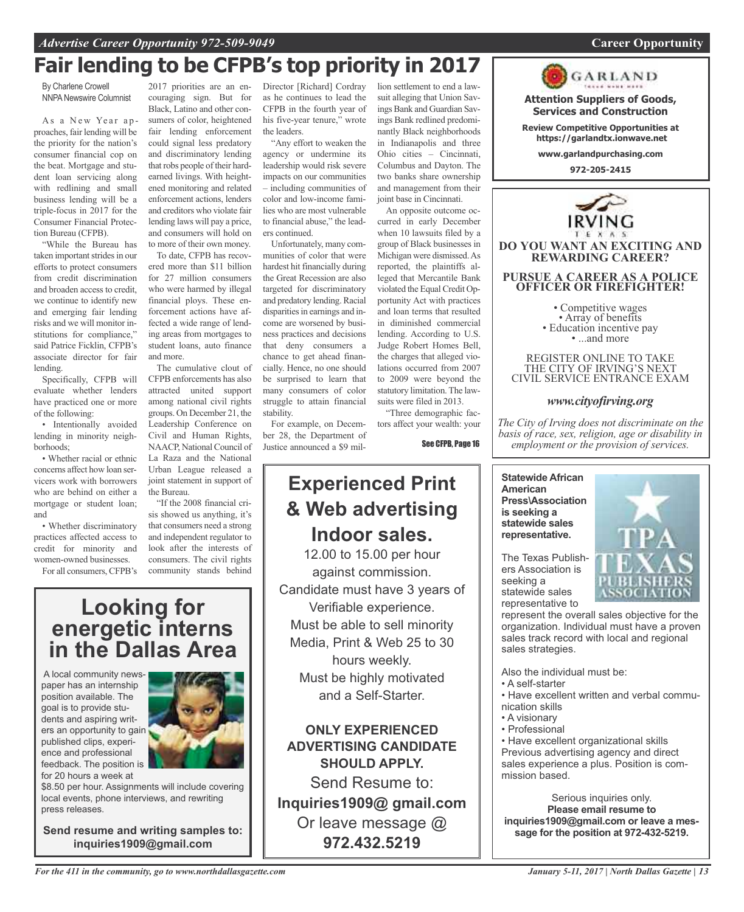### **Fair lending to be CFPB's top priority in 2017**

By Charlene Crowell **NNPA Newswire Columnist** 

As a New Year approaches, fair lending will be the priority for the nation's consumer financial cop on the beat. Mortgage and student loan servicing along with redlining and small business lending will be a triple-focus in 2017 for the Consumer Financial Protection Bureau (CFPB).

"While the Bureau has taken important strides in our efforts to protect consumers from credit discrimination and broaden access to credit, we continue to identify new and emerging fair lending risks and we will monitor institutions for compliance," said Patrice Ficklin, CFPB's associate director for fair lending.

Specifically, CFPB will evaluate whether lenders have practiced one or more of the following:

• Intentionally avoided lending in minority neighborhoods;

• Whether racial or ethnic concerns affect how loan servicers work with borrowers who are behind on either a mortgage or student loan; and

• Whether discriminatory practices affected access to credit for minority and women-owned businesses.

For all consumers, CFPB's

2017 priorities are an encouraging sign. But for Black, Latino and other consumers of color, heightened fair lending enforcement could signal less predatory and discriminatory lending that robs people of their hardearned livings. With heightened monitoring and related enforcement actions, lenders and creditors who violate fair lending laws will pay a price, and consumers will hold on to more of their own money.

To date, CFPB has recovered more than \$11 billion for 27 million consumers who were harmed by illegal financial ploys. These enforcement actions have affected a wide range of lending areas from mortgages to student loans, auto finance and more.

The cumulative clout of CFPB enforcements has also attracted united support among national civil rights groups. On December 21, the Leadership Conference on Civil and Human Rights, NAACP, National Council of La Raza and the National Urban League released a joint statement in support of the Bureau.

"If the 2008 financial crisis showed us anything, it's that consumers need a strong and independent regulator to look after the interests of consumers. The civil rights community stands behind

**Looking for energetic interns in the Dallas Area**

A local community newspaper has an internship position available. The goal is to provide students and aspiring writers an opportunity to gain published clips, experience and professional feedback. The position is for 20 hours a week at



\$8.50 per hour. Assignments will include covering local events, phone interviews, and rewriting press releases.

**Send resume and writing samples to: inquiries1909@gmail.com**

Director [Richard] Cordray as he continues to lead the CFPB in the fourth year of his five-year tenure," wrote the leaders.

"Any effort to weaken the agency or undermine its leadership would risk severe impacts on our communities – including communities of color and low-income families who are most vulnerable to financial abuse," the leaders continued.

Unfortunately, many communities of color that were hardest hit financially during the Great Recession are also targeted for discriminatory and predatory lending. Racial disparities in earnings and income are worsened by business practices and decisions that deny consumers a chance to get ahead financially. Hence, no one should be surprised to learn that many consumers of color struggle to attain financial stability.

For example, on December 28, the Department of Justice announced a \$9 million settlement to end a lawsuit alleging that Union Savings Bank and Guardian Savings Bank redlined predominantly Black neighborhoods in Indianapolis and three Ohio cities – Cincinnati, Columbus and Dayton. The two banks share ownership and management from their joint base in Cincinnati.

An opposite outcome occurred in early December when 10 lawsuits filed by a group of Black businesses in Michigan were dismissed.As reported, the plaintiffs alleged that Mercantile Bank violated the Equal Credit Opportunity Act with practices and loan terms that resulted in diminished commercial lending. According to U.S. Judge Robert Homes Bell, the charges that alleged violations occurred from 2007 to 2009 were beyond the statutory limitation. The lawsuits were filed in 2013.

"Three demographic factors affect your wealth: your

See CFPB, Page 16

### **Experienced Print & Web advertising Indoor sales.**

12.00 to 15.00 per hour against commission. Candidate must have 3 years of Verifiable experience. Must be able to sell minority Media, Print & Web 25 to 30 hours weekly. Must be highly motivated and a Self-Starter.

**ONLY EXPERIENCED ADVERTISING CANDIDATE SHOULD APPLY.**

Send Resume to: **Inquiries1909@ gmail.com** Or leave message @ **972.432.5219**



**Attention Suppliers of Goods, Services and Construction Review Competitive Opportunities at https://garlandtx.ionwave.net www.garlandpurchasing.com 972-205-2415**

GARLAND

REGISTER ONLINE TO TAKE THE CITY OF IRVING'S NEXT CIVIL SERVICE ENTRANCE EXAM

### *www.cityofirving.org*

*The City of Irving does not discriminate on the basis of race, sex, religion, age or disability in employment or the provision of services.*

**Statewide African American Press\Association is seeking a statewide sales representative.**

The Texas Publishers Association is seeking a statewide sales representative to

represent the overall sales objective for the organization. Individual must have a proven sales track record with local and regional sales strategies.

Also the individual must be:

- A self-starter
- Have excellent written and verbal communication skills
- A visionary
- Professional

• Have excellent organizational skills Previous advertising agency and direct sales experience a plus. Position is commission based.

Serious inquiries only. **Please email resume to inquiries1909@gmail.com or leave a message for the position at 972-432-5219.**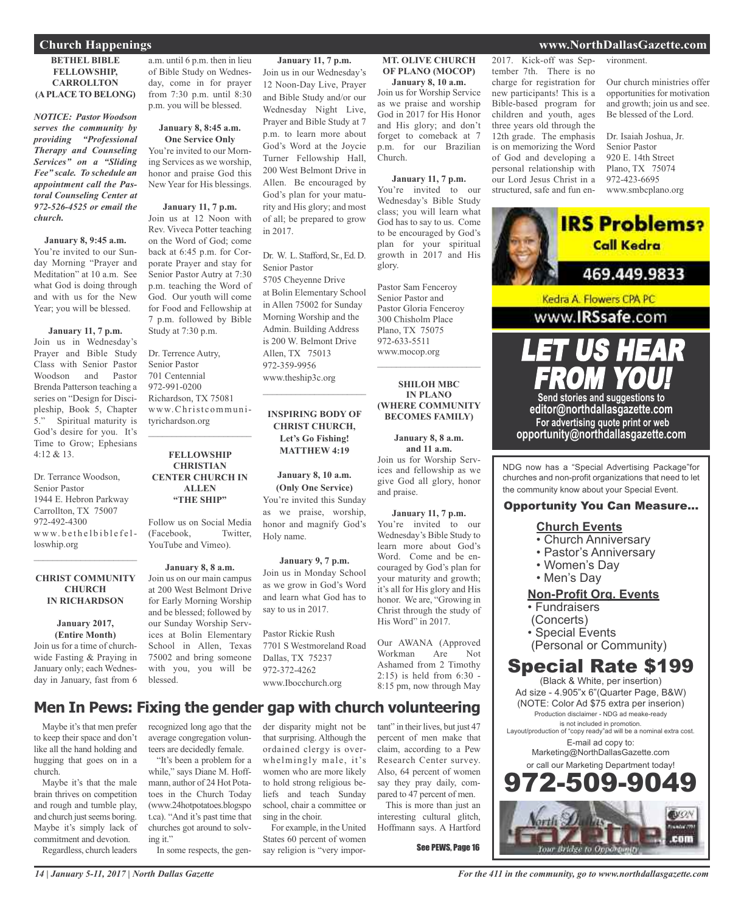#### **BETHEL BIBLE FELLOWSHIP, CARROLLTON (A PLACE TO BELONG)**

*NOTICE: Pastor Woodson serves the community by providing "Professional Therapy and Counseling Services" on a "Sliding Fee" scale. To schedule an appointment call the Pastoral Counseling Center at 972-526-4525 or email the church.*

### **January 8, 9:45 a.m.**

You're invited to our Sunday Morning "Prayer and Meditation" at 10 a.m. See what God is doing through and with us for the New Year; you will be blessed.

#### **January 11, 7 p.m.**

Join us in Wednesday's Prayer and Bible Study Class with Senior Pastor Woodson and Pastor Brenda Patterson teaching a series on "Design for Discipleship, Book 5, Chapter<br>5." Spiritual maturity is Spiritual maturity is God's desire for you. It's Time to Grow; Ephesians  $4.12 & 8.13$ 

Dr. Terrance Woodson, Senior Pastor 1944 E. Hebron Parkway Carrollton, TX 75007 972-492-4300 www.bethelbiblefelloswhip.org

#### **CHRIST COMMUNITY CHURCH IN RICHARDSON**

 $\mathcal{L}_\text{max}$  and  $\mathcal{L}_\text{max}$  and  $\mathcal{L}_\text{max}$ 

**January 2017, (Entire Month)** Join us for a time of churchwide Fasting & Praying in January only; each Wednesday in January, fast from 6 a.m. until 6 p.m. then in lieu of Bible Study on Wednesday, come in for prayer from 7:30 p.m. until 8:30 p.m. you will be blessed.

#### **January 8, 8:45 a.m. One Service Only**

You're invited to our Morning Services as we worship, honor and praise God this New Year for His blessings.

**January 11, 7 p.m.** Join us at 12 Noon with Rev. Viveca Potter teaching on the Word of God; come back at 6:45 p.m. for Corporate Prayer and stay for Senior Pastor Autry at 7:30 p.m. teaching the Word of God. Our youth will come for Food and Fellowship at 7 p.m. followed by Bible Study at 7:30 p.m.

Dr. Terrence Autry, Senior Pastor 701 Centennial 972-991-0200 Richardson, TX 75081 www.Christcommunityrichardson.org

#### **FELLOWSHIP CHRISTIAN CENTER CHURCH IN ALLEN "THE SHIP"**

 $\mathcal{L}_\text{max}$  , which is a set of the set of the set of the set of the set of the set of the set of the set of the set of the set of the set of the set of the set of the set of the set of the set of the set of the set of

Follow us on Social Media (Facebook, Twitter, YouTube and Vimeo).

#### **January 8, 8 a.m.** Join us on our main campus at 200 West Belmont Drive for Early Morning Worship and be blessed; followed by our Sunday Worship Services at Bolin Elementary School in Allen, Texas 75002 and bring someone with you, you will be blessed.

while," says Diane M. Hoffmann, author of 24 Hot Potatoes in the Church Today (www.24hotpotatoes.blogspo t.ca). "And it's past time that churches got around to solv-

In some respects, the gen-

### **January 11, 7 p.m.**

Join us in our Wednesday's 12 Noon-Day Live, Prayer and Bible Study and/or our Wednesday Night Live, Prayer and Bible Study at 7 p.m. to learn more about God's Word at the Joycie Turner Fellowship Hall, 200 West Belmont Drive in Allen. Be encouraged by God's plan for your maturity and His glory; and most of all; be prepared to grow in 2017.

Dr. W. L. Stafford, Sr., Ed. D. Senior Pastor 5705 Cheyenne Drive at Bolin Elementary School in Allen 75002 for Sunday Morning Worship and the Admin. Building Address is 200 W. Belmont Drive Allen, TX 75013 972-359-9956 www.theship3c.org

### **INSPIRING BODY OF CHRIST CHURCH, Let's Go Fishing! MATTHEW 4:19**

 $\overline{\phantom{a}}$  , and the set of the set of the set of the set of the set of the set of the set of the set of the set of the set of the set of the set of the set of the set of the set of the set of the set of the set of the s

### **January 8, 10 a.m. (Only One Service)** You're invited this Sunday as we praise, worship, honor and magnify God's Holy name.

#### **January 9, 7 p.m.**

Join us in Monday School as we grow in God's Word and learn what God has to say to us in 2017.

Pastor Rickie Rush 7701 S Westmoreland Road Dallas, TX 75237 972-372-4262 www.Ibocchurch.org

that surprising. Although the ordained clergy is overwhelmingly male, it's women who are more likely to hold strong religious beliefs and teach Sunday school, chair a committee or

For example, in the United States 60 percent of women say religion is "very impor-

sing in the choir.

#### **MT. OLIVE CHURCH OF PLANO (MOCOP) January 8, 10 a.m.**

Join us for Worship Service as we praise and worship God in 2017 for His Honor and His glory; and don't forget to comeback at 7 p.m. for our Brazilian Church.

#### **January 11, 7 p.m.**

You're invited to our Wednesday's Bible Study class; you will learn what God has to say to us. Come to be encouraged by God's plan for your spiritual growth in 2017 and His glory.

Pastor Sam Fenceroy Senior Pastor and Pastor Gloria Fenceroy 300 Chisholm Place Plano, TX 75075 972-633-5511 www.mocop.org  $\mathcal{L}$  , and the set of the set of the set of the set of the set of the set of the set of the set of the set of the set of the set of the set of the set of the set of the set of the set of the set of the set of the set

#### **SHILOH MBC IN PLANO (WHERE COMMUNITY BECOMES FAMILY)**

**January 8, 8 a.m. and 11 a.m.**

Join us for Worship Services and fellowship as we give God all glory, honor and praise.

#### **January 11, 7 p.m.**

You're invited to our Wednesday's Bible Study to learn more about God's Word. Come and be encouraged by God's plan for your maturity and growth; it's all for His glory and His honor. We are, "Growing in Christ through the study of His Word" in 2017.

Our AWANA (Approved Workman Are Not Ashamed from 2 Timothy 2:15) is held from 6:30 - 8:15 pm, now through May

tant" in their lives, but just 47 percent of men make that claim, according to a Pew Research Center survey. Also, 64 percent of women

pared to 47 percent of men. This is more than just an interesting cultural glitch, Hoffmann says. A Hartford

say they pray daily, com-

See PEWS, Page 16

### **Church Happenings www.NorthDallasGazette.com**

2017. Kick-off was September 7th. There is no vironment.

charge for registration for new participants! This is a Bible-based program for children and youth, ages three years old through the 12th grade. The emphasis is on memorizing the Word of God and developing a personal relationship with our Lord Jesus Christ in a structured, safe and fun enOur church ministries offer opportunities for motivation and growth; join us and see. Be blessed of the Lord.

Dr. Isaiah Joshua, Jr. Senior Pastor 920 E. 14th Street Plano, TX 75074 972-423-6695 www.smbcplano.org

**IRS Problems?** 



FROM YOU! **Send stories and suggestions to editor@northdallasgazette.com For advertising quote print or web opportunity@northdallasgazette.com**

LET US HEAR

www.IRSsafe.com

NDG now has a "Special Advertising Package"for churches and non-profit organizations that need to let the community know about your Special Event.

### Opportunity You Can Measure...

### **Church Events**

- Church Anniversary
- Pastor's Anniversary
- Women's Day
- Men's Day

### **Non-Profit Org. Events**

• Fundraisers

- (Concerts)
- Special Events
- (Personal or Community)

### Special Rate \$199

(Black & White, per insertion) Ad size - 4.905"x 6"(Quarter Page, B&W) (NOTE: Color Ad \$75 extra per inserion) Production disclaimer - NDG ad meake-ready is not included in promotion. Layout/production of "copy ready"ad will be a nominal extra cost. E-mail ad copy to: Marketing@NorthDallasGazette.com or call our Marketing Department today! 2.509.90 **EUON** 



ing it."

**Men In Pews: Fixing the gender gap with church volunteering** recognized long ago that the der disparity might not be

Maybe it's that men prefer to keep their space and don't like all the hand holding and average congregation volunteers are decidedly female. "It's been a problem for a

hugging that goes on in a church. Maybe it's that the male brain thrives on competition and rough and tumble play, and church just seems boring. Maybe it's simply lack of commitment and devotion.

Regardless, church leaders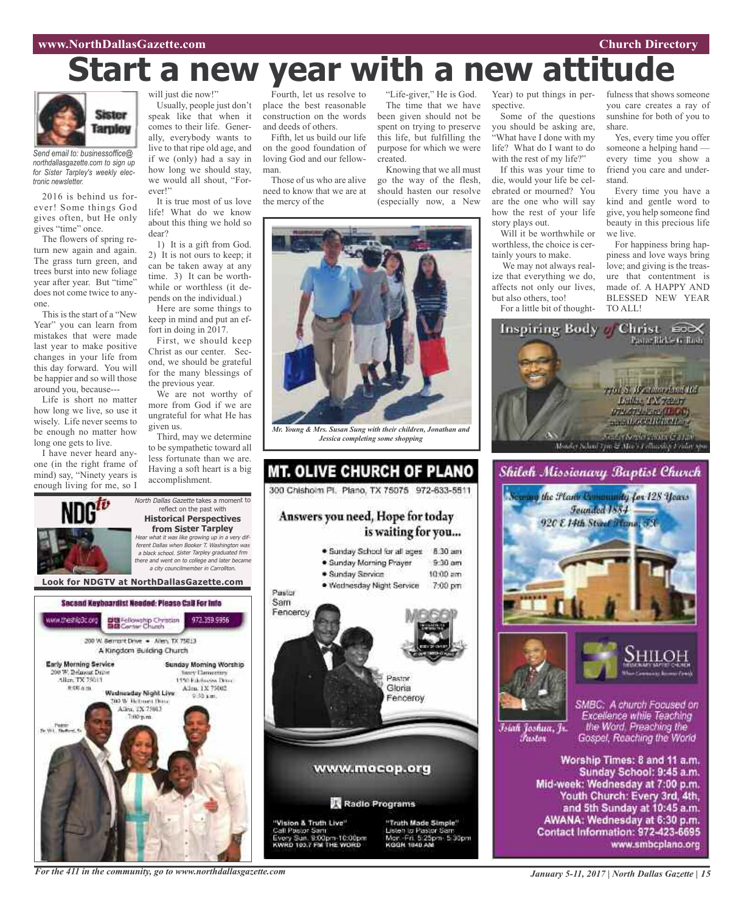### **www.NorthDallasGazette.com Church Directory**

## **Start a new year with a new attitude**



*Send email to: businessoffice@ northdallasgazette.com to sign up for Sister Tarpley's weekly electronic newsletter.*

2016 is behind us forever! Some things God gives often, but He only gives "time" once.

The flowers of spring return new again and again. The grass turn green, and trees burst into new foliage year after year. But "time" does not come twice to anyone.

This is the start of a "New Year" you can learn from mistakes that were made last year to make positive changes in your life from this day forward. You will be happier and so will those around you, because---

Life is short no matter how long we live, so use it wisely. Life never seems to be enough no matter how long one gets to live.

I have never heard anyone (in the right frame of mind) say, "Ninety years is enough living for me, so I

ww.theshlp3c.org

**Early Morning Service** 

0 W. Belmunt Drive

Alice TX 75013

 $0.004m$ 

Tv.Wit. New

will just die now!"

Usually, people just don't speak like that when it comes to their life. Generally, everybody wants to live to that ripe old age, and if we (only) had a say in how long we should stay, we would all shout, "Forever!"

It is true most of us love life! What do we know about this thing we hold so dear?

1) It is a gift from God. 2) It is not ours to keep; it can be taken away at any time. 3) It can be worthwhile or worthless (it depends on the individual.)

Here are some things to keep in mind and put an effort in doing in 2017.

First, we should keep Christ as our center. Second, we should be grateful for the many blessings of the previous year.

We are not worthy of more from God if we are ungrateful for what He has given us.

Third, may we determine to be sympathetic toward all less fortunate than we are. Having a soft heart is a big accomplishment.

North Dallas Gazette takes a moment to reflect on the past with **Historical Perspectives from Sister Tarpley** Hear what it was like growing up in <sup>a</sup> very different Dallas when Booker T. Washington was <sup>a</sup> black school. Sister Tarpley graduated frm there and went on to college and later became <sup>a</sup> city councilmember in Carrollton.

Fourth, let us resolve to place the best reasonable construction on the words and deeds of others.

Fifth, let us build our life on the good foundation of loving God and our fellowman.

Those of us who are alive need to know that we are at the mercy of the

"Life-giver," He is God. The time that we have been given should not be spent on trying to preserve this life, but fulfilling the purpose for which we were created.

go the way of the flesh, should hasten our resolve (especially now, a New



*Mr. Young & Mrs. Susan Sung with their children, Jonathan and Jessica completing some shopping*

### **MT. OLIVE CHURCH OF PLANO** 300 Chisholm Pl. Plano, TX 75075 972-633-5511 Answers you need, Hope for today is waiting for you... · Sunday School for all ages 8:30 am · Sunday Morning Prayer  $9.30$  am · Sunday Service  $10:00$  am · Wednesday Night Service 7:00 pm Pastor Sam Fenceroy



Knowing that we all must

Year) to put things in perspective.

Some of the questions you should be asking are, "What have I done with my life? What do I want to do with the rest of my life?"

If this was your time to die, would your life be celebrated or mourned? You are the one who will say how the rest of your life story plays out.

Will it be worthwhile or worthless, the choice is certainly yours to make.

We may not always realize that everything we do, affects not only our lives, but also others, too! For a little bit of thoughtfulness that shows someone you care creates a ray of sunshine for both of you to share.

Yes, every time you offer someone a helping hand every time you show a friend you care and understand.

Every time you have a kind and gentle word to give, you help someone find beauty in this precious life we live.

For happiness bring happiness and love ways bring love; and giving is the treasure that contentment is made of. A HAPPY AND BLESSED NEW YEAR TO ALL!







Islah Joshua, Jr. Fustor

SMBC: A church Focused on Excellence while Teaching the Word. Preaching the Gospel, Reaching the World

Worship Times: 8 and 11 a.m. Sunday School: 9:45 a.m. Mid-week: Wednesday at 7:00 p.m. Youth Church: Every 3rd, 4th, and 5th Sunday at 10:45 a.m. AWANA: Wednesday at 6:30 p.m. Contact Information: 972-423-6695 www.smbcplano.org

*For the 411 in the community, go to www.northdallasgazette.com*

Wadnasday Night Live

**DO W. Retroem Days** 

Allen, TX 75013